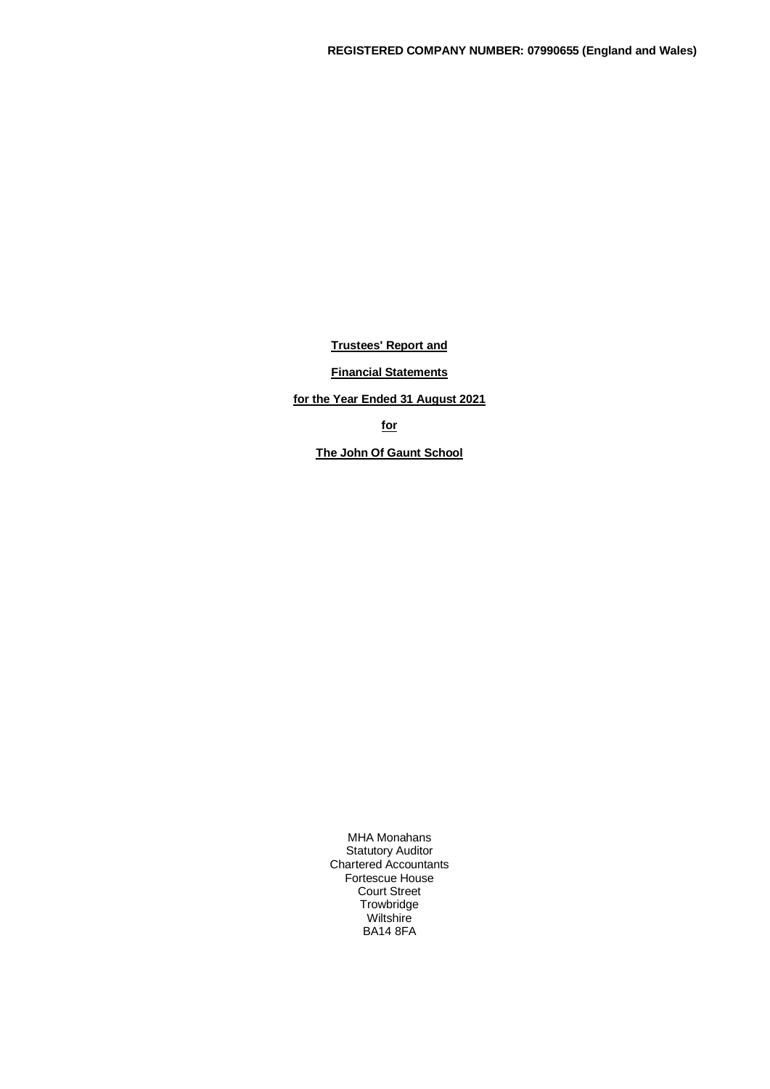**Trustees' Report and**

**Financial Statements**

**for the Year Ended 31 August 2021**

**for**

**The John Of Gaunt School**

MHA Monahans Statutory Auditor Chartered Accountants Fortescue House Court Street **Trowbridge Wiltshire** BA14 8FA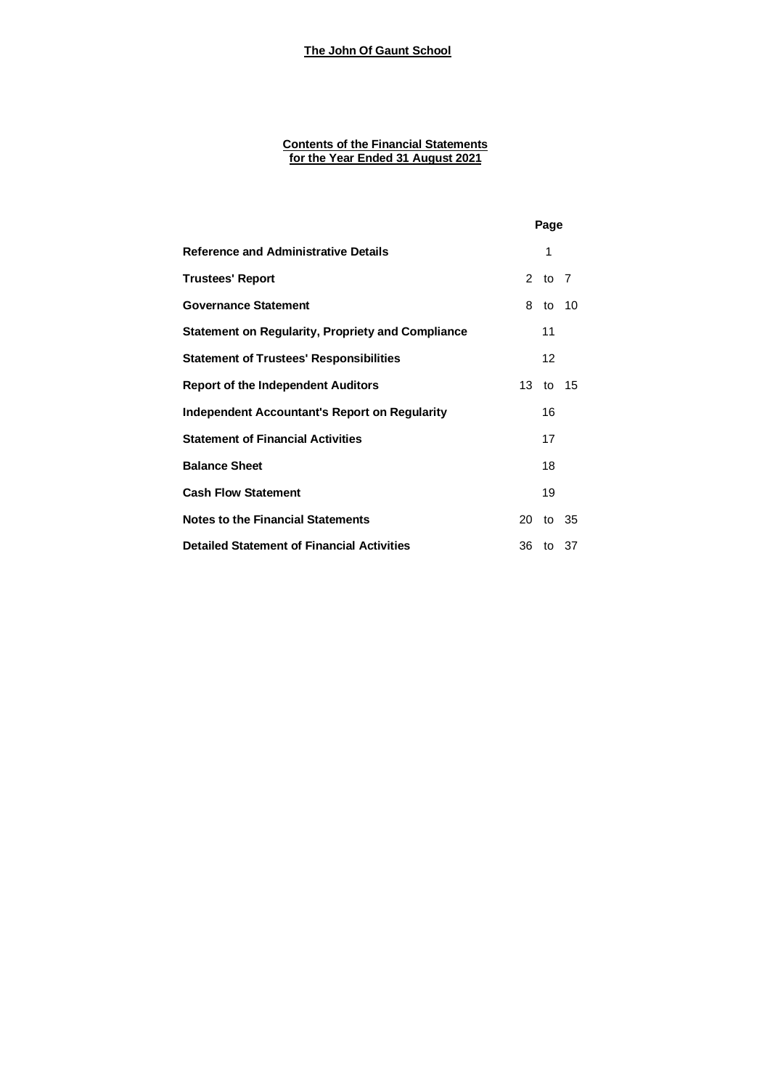#### **Contents of the Financial Statements for the Year Ended 31 August 2021**

|                                                          |    | Page              |       |
|----------------------------------------------------------|----|-------------------|-------|
| <b>Reference and Administrative Details</b>              |    | 1                 |       |
| <b>Trustees' Report</b>                                  |    | 2 to 7            |       |
| <b>Governance Statement</b>                              | 8  | to 10             |       |
| <b>Statement on Regularity, Propriety and Compliance</b> |    | 11                |       |
| <b>Statement of Trustees' Responsibilities</b>           |    | $12 \overline{ }$ |       |
| <b>Report of the Independent Auditors</b>                |    | 13 to 15          |       |
| <b>Independent Accountant's Report on Regularity</b>     |    | 16                |       |
| <b>Statement of Financial Activities</b>                 |    | 17                |       |
| <b>Balance Sheet</b>                                     |    | 18                |       |
| <b>Cash Flow Statement</b>                               |    | 19                |       |
| <b>Notes to the Financial Statements</b>                 | 20 |                   | to 35 |
| <b>Detailed Statement of Financial Activities</b>        |    | 36 to 37          |       |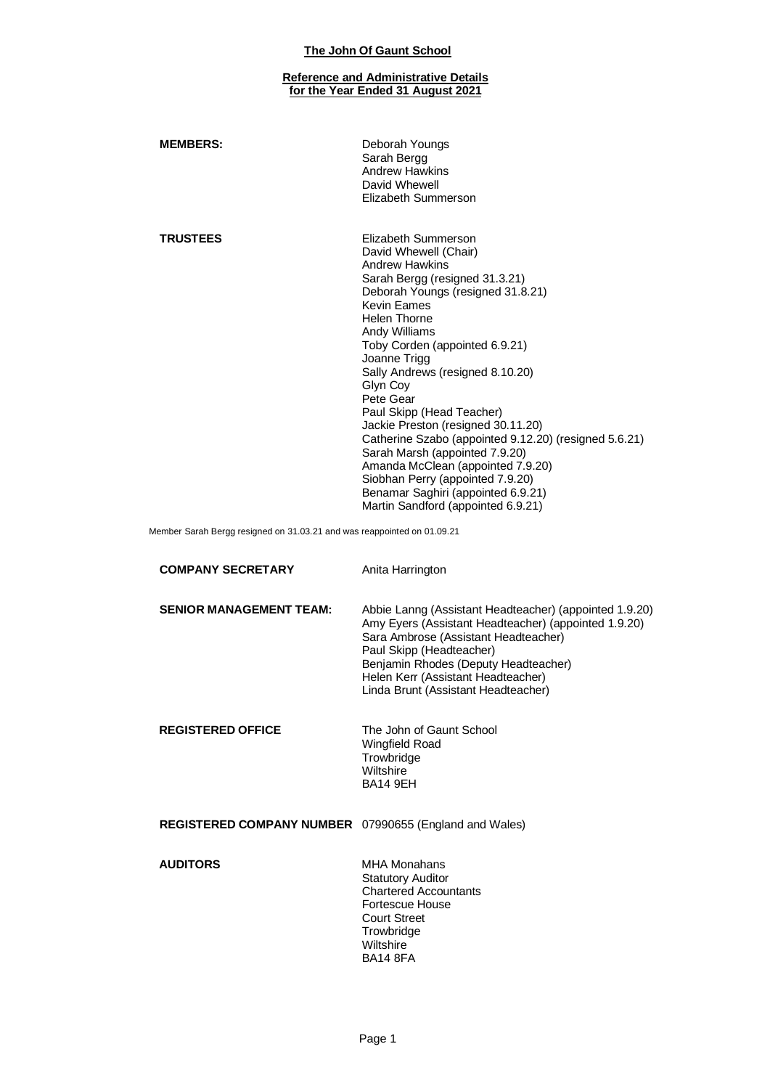#### **Reference and Administrative Details for the Year Ended 31 August 2021**

| <b>MEMBERS:</b>                                                         | Deborah Youngs<br>Sarah Bergg<br><b>Andrew Hawkins</b><br>David Whewell<br>Elizabeth Summerson                                                                                                                                                                                                                                                                                                                                                                                                                                                                                                                                               |
|-------------------------------------------------------------------------|----------------------------------------------------------------------------------------------------------------------------------------------------------------------------------------------------------------------------------------------------------------------------------------------------------------------------------------------------------------------------------------------------------------------------------------------------------------------------------------------------------------------------------------------------------------------------------------------------------------------------------------------|
| <b>TRUSTEES</b>                                                         | Elizabeth Summerson<br>David Whewell (Chair)<br><b>Andrew Hawkins</b><br>Sarah Bergg (resigned 31.3.21)<br>Deborah Youngs (resigned 31.8.21)<br><b>Kevin Fames</b><br><b>Helen Thorne</b><br>Andy Williams<br>Toby Corden (appointed 6.9.21)<br>Joanne Trigg<br>Sally Andrews (resigned 8.10.20)<br>Glyn Coy<br>Pete Gear<br>Paul Skipp (Head Teacher)<br>Jackie Preston (resigned 30.11.20)<br>Catherine Szabo (appointed 9.12.20) (resigned 5.6.21)<br>Sarah Marsh (appointed 7.9.20)<br>Amanda McClean (appointed 7.9.20)<br>Siobhan Perry (appointed 7.9.20)<br>Benamar Saghiri (appointed 6.9.21)<br>Martin Sandford (appointed 6.9.21) |
| Member Sarah Bergg resigned on 31.03.21 and was reappointed on 01.09.21 |                                                                                                                                                                                                                                                                                                                                                                                                                                                                                                                                                                                                                                              |

| <b>COMPANY SECRETARY</b>                                      | Anita Harrington                                                                                                                                                                                                                                                                                        |
|---------------------------------------------------------------|---------------------------------------------------------------------------------------------------------------------------------------------------------------------------------------------------------------------------------------------------------------------------------------------------------|
| <b>SENIOR MANAGEMENT TEAM:</b>                                | Abbie Lanng (Assistant Headteacher) (appointed 1.9.20)<br>Amy Eyers (Assistant Headteacher) (appointed 1.9.20)<br>Sara Ambrose (Assistant Headteacher)<br>Paul Skipp (Headteacher)<br>Benjamin Rhodes (Deputy Headteacher)<br>Helen Kerr (Assistant Headteacher)<br>Linda Brunt (Assistant Headteacher) |
| <b>REGISTERED OFFICE</b>                                      | The John of Gaunt School<br><b>Wingfield Road</b><br>Trowbridge<br>Wiltshire<br><b>BA14 9EH</b>                                                                                                                                                                                                         |
| <b>REGISTERED COMPANY NUMBER</b> 07990655 (England and Wales) |                                                                                                                                                                                                                                                                                                         |
| <b>AUDITORS</b>                                               | <b>MHA Monahans</b><br><b>Statutory Auditor</b><br><b>Chartered Accountants</b><br>Fortescue House<br><b>Court Street</b><br>Trowbridge<br><b>Wiltshire</b><br><b>BA14 8FA</b>                                                                                                                          |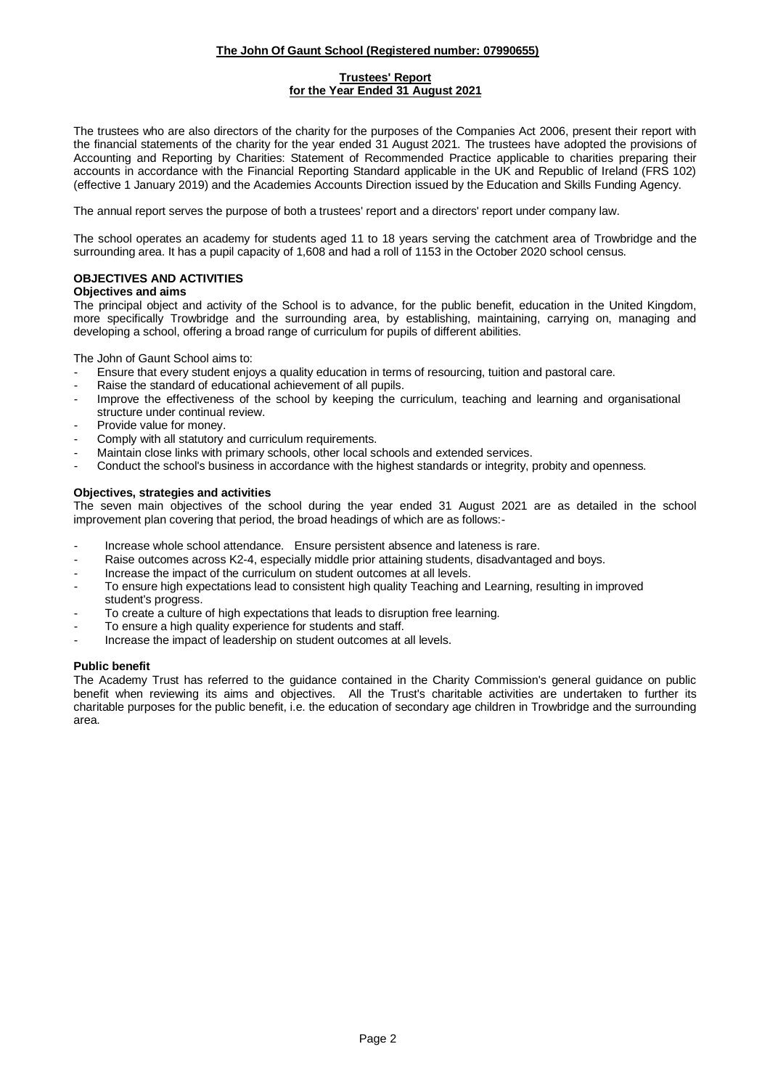### **Trustees' Report for the Year Ended 31 August 2021**

The trustees who are also directors of the charity for the purposes of the Companies Act 2006, present their report with the financial statements of the charity for the year ended 31 August 2021. The trustees have adopted the provisions of Accounting and Reporting by Charities: Statement of Recommended Practice applicable to charities preparing their accounts in accordance with the Financial Reporting Standard applicable in the UK and Republic of Ireland (FRS 102) (effective 1 January 2019) and the Academies Accounts Direction issued by the Education and Skills Funding Agency.

The annual report serves the purpose of both a trustees' report and a directors' report under company law.

The school operates an academy for students aged 11 to 18 years serving the catchment area of Trowbridge and the surrounding area. It has a pupil capacity of 1,608 and had a roll of 1153 in the October 2020 school census.

### **OBJECTIVES AND ACTIVITIES**

### **Objectives and aims**

The principal object and activity of the School is to advance, for the public benefit, education in the United Kingdom, more specifically Trowbridge and the surrounding area, by establishing, maintaining, carrying on, managing and developing a school, offering a broad range of curriculum for pupils of different abilities.

The John of Gaunt School aims to:

- Ensure that every student enjoys a quality education in terms of resourcing, tuition and pastoral care.
- Raise the standard of educational achievement of all pupils.
- Improve the effectiveness of the school by keeping the curriculum, teaching and learning and organisational structure under continual review.
- Provide value for money.
- Comply with all statutory and curriculum requirements.
- Maintain close links with primary schools, other local schools and extended services.
- Conduct the school's business in accordance with the highest standards or integrity, probity and openness.

### **Objectives, strategies and activities**

The seven main objectives of the school during the year ended 31 August 2021 are as detailed in the school improvement plan covering that period, the broad headings of which are as follows:-

- Increase whole school attendance. Ensure persistent absence and lateness is rare.
- Raise outcomes across K2-4, especially middle prior attaining students, disadvantaged and boys.
- Increase the impact of the curriculum on student outcomes at all levels.
- To ensure high expectations lead to consistent high quality Teaching and Learning, resulting in improved student's progress.
- To create a culture of high expectations that leads to disruption free learning.
- To ensure a high quality experience for students and staff.
- Increase the impact of leadership on student outcomes at all levels.

#### **Public benefit**

The Academy Trust has referred to the guidance contained in the Charity Commission's general guidance on public benefit when reviewing its aims and objectives. All the Trust's charitable activities are undertaken to further its charitable purposes for the public benefit, i.e. the education of secondary age children in Trowbridge and the surrounding area.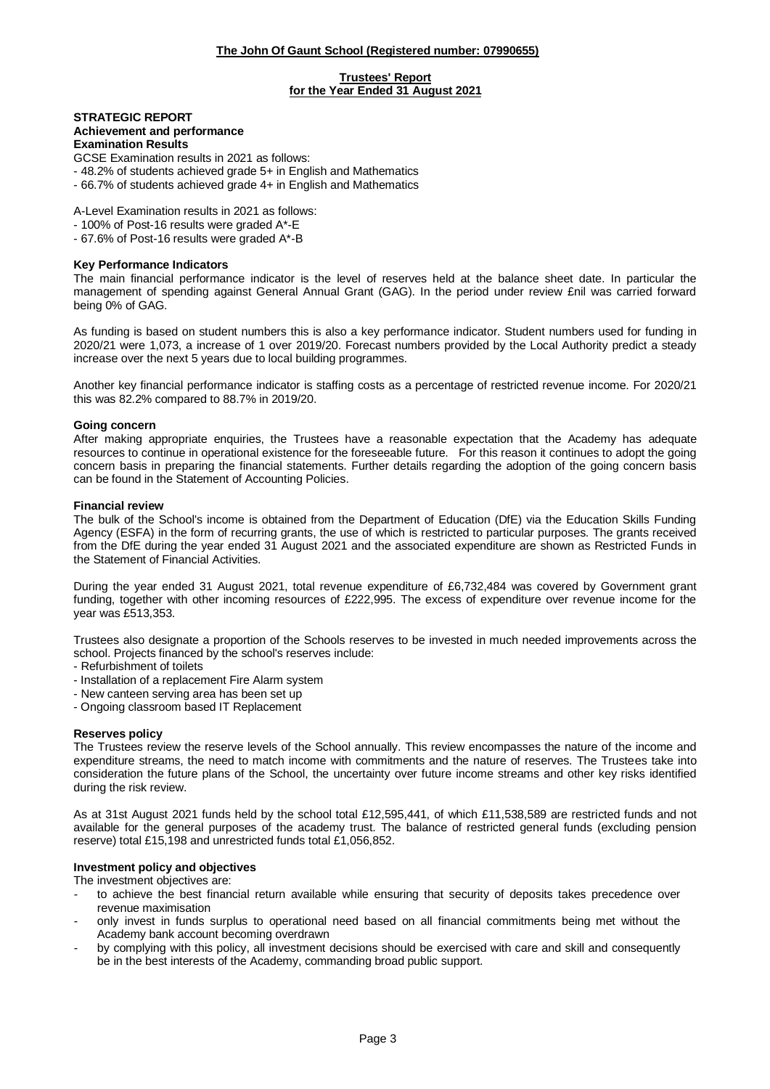#### **Trustees' Report for the Year Ended 31 August 2021**

#### **STRATEGIC REPORT Achievement and performance Examination Results**

GCSE Examination results in 2021 as follows:

- 48.2% of students achieved grade 5+ in English and Mathematics
- 66.7% of students achieved grade 4+ in English and Mathematics

A-Level Examination results in 2021 as follows:

- 100% of Post-16 results were graded A\*-E

- 67.6% of Post-16 results were graded A\*-B

#### **Key Performance Indicators**

The main financial performance indicator is the level of reserves held at the balance sheet date. In particular the management of spending against General Annual Grant (GAG). In the period under review £nil was carried forward being 0% of GAG.

As funding is based on student numbers this is also a key performance indicator. Student numbers used for funding in 2020/21 were 1,073, a increase of 1 over 2019/20. Forecast numbers provided by the Local Authority predict a steady increase over the next 5 years due to local building programmes.

Another key financial performance indicator is staffing costs as a percentage of restricted revenue income. For 2020/21 this was 82.2% compared to 88.7% in 2019/20.

#### **Going concern**

After making appropriate enquiries, the Trustees have a reasonable expectation that the Academy has adequate resources to continue in operational existence for the foreseeable future. For this reason it continues to adopt the going concern basis in preparing the financial statements. Further details regarding the adoption of the going concern basis can be found in the Statement of Accounting Policies.

### **Financial review**

The bulk of the School's income is obtained from the Department of Education (DfE) via the Education Skills Funding Agency (ESFA) in the form of recurring grants, the use of which is restricted to particular purposes. The grants received from the DfE during the year ended 31 August 2021 and the associated expenditure are shown as Restricted Funds in the Statement of Financial Activities.

During the year ended 31 August 2021, total revenue expenditure of £6,732,484 was covered by Government grant funding, together with other incoming resources of £222,995. The excess of expenditure over revenue income for the year was £513,353.

Trustees also designate a proportion of the Schools reserves to be invested in much needed improvements across the school. Projects financed by the school's reserves include:

- Refurbishment of toilets
- Installation of a replacement Fire Alarm system
- New canteen serving area has been set up
- Ongoing classroom based IT Replacement

#### **Reserves policy**

The Trustees review the reserve levels of the School annually. This review encompasses the nature of the income and expenditure streams, the need to match income with commitments and the nature of reserves. The Trustees take into consideration the future plans of the School, the uncertainty over future income streams and other key risks identified during the risk review.

As at 31st August 2021 funds held by the school total £12,595,441, of which £11,538,589 are restricted funds and not available for the general purposes of the academy trust. The balance of restricted general funds (excluding pension reserve) total £15,198 and unrestricted funds total £1,056,852.

#### **Investment policy and objectives**

The investment objectives are:

- to achieve the best financial return available while ensuring that security of deposits takes precedence over revenue maximisation
- only invest in funds surplus to operational need based on all financial commitments being met without the Academy bank account becoming overdrawn
- by complying with this policy, all investment decisions should be exercised with care and skill and consequently be in the best interests of the Academy, commanding broad public support.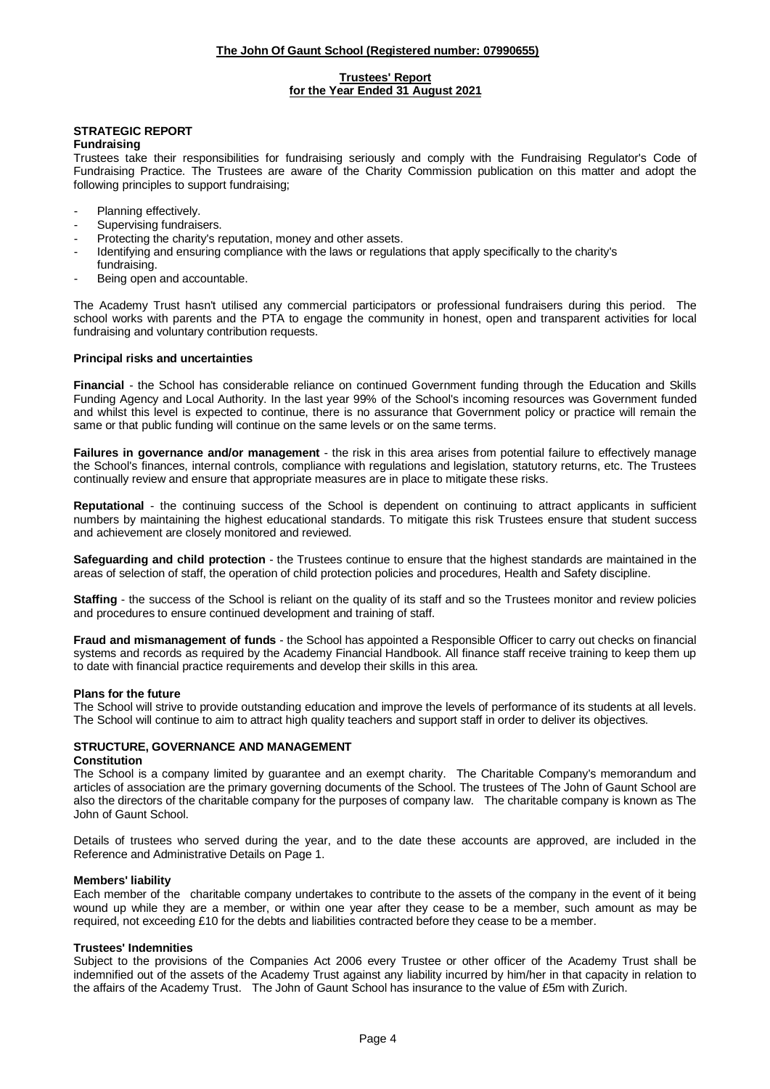### **Trustees' Report for the Year Ended 31 August 2021**

# **STRATEGIC REPORT**

### **Fundraising**

Trustees take their responsibilities for fundraising seriously and comply with the Fundraising Regulator's Code of Fundraising Practice. The Trustees are aware of the Charity Commission publication on this matter and adopt the following principles to support fundraising;

- Planning effectively.
- Supervising fundraisers.
- Protecting the charity's reputation, money and other assets.
- Identifying and ensuring compliance with the laws or regulations that apply specifically to the charity's fundraising.
- Being open and accountable.

The Academy Trust hasn't utilised any commercial participators or professional fundraisers during this period. The school works with parents and the PTA to engage the community in honest, open and transparent activities for local fundraising and voluntary contribution requests.

### **Principal risks and uncertainties**

**Financial** - the School has considerable reliance on continued Government funding through the Education and Skills Funding Agency and Local Authority. In the last year 99% of the School's incoming resources was Government funded and whilst this level is expected to continue, there is no assurance that Government policy or practice will remain the same or that public funding will continue on the same levels or on the same terms.

**Failures in governance and/or management** - the risk in this area arises from potential failure to effectively manage the School's finances, internal controls, compliance with regulations and legislation, statutory returns, etc. The Trustees continually review and ensure that appropriate measures are in place to mitigate these risks.

**Reputational** - the continuing success of the School is dependent on continuing to attract applicants in sufficient numbers by maintaining the highest educational standards. To mitigate this risk Trustees ensure that student success and achievement are closely monitored and reviewed.

**Safeguarding and child protection** - the Trustees continue to ensure that the highest standards are maintained in the areas of selection of staff, the operation of child protection policies and procedures, Health and Safety discipline.

**Staffing** - the success of the School is reliant on the quality of its staff and so the Trustees monitor and review policies and procedures to ensure continued development and training of staff.

**Fraud and mismanagement of funds** - the School has appointed a Responsible Officer to carry out checks on financial systems and records as required by the Academy Financial Handbook. All finance staff receive training to keep them up to date with financial practice requirements and develop their skills in this area.

#### **Plans for the future**

The School will strive to provide outstanding education and improve the levels of performance of its students at all levels. The School will continue to aim to attract high quality teachers and support staff in order to deliver its objectives.

#### **STRUCTURE, GOVERNANCE AND MANAGEMENT Constitution**

The School is a company limited by guarantee and an exempt charity. The Charitable Company's memorandum and articles of association are the primary governing documents of the School. The trustees of The John of Gaunt School are also the directors of the charitable company for the purposes of company law. The charitable company is known as The John of Gaunt School.

Details of trustees who served during the year, and to the date these accounts are approved, are included in the Reference and Administrative Details on Page 1.

#### **Members' liability**

Each member of the charitable company undertakes to contribute to the assets of the company in the event of it being wound up while they are a member, or within one year after they cease to be a member, such amount as may be required, not exceeding £10 for the debts and liabilities contracted before they cease to be a member.

#### **Trustees' Indemnities**

Subject to the provisions of the Companies Act 2006 every Trustee or other officer of the Academy Trust shall be indemnified out of the assets of the Academy Trust against any liability incurred by him/her in that capacity in relation to the affairs of the Academy Trust. The John of Gaunt School has insurance to the value of £5m with Zurich.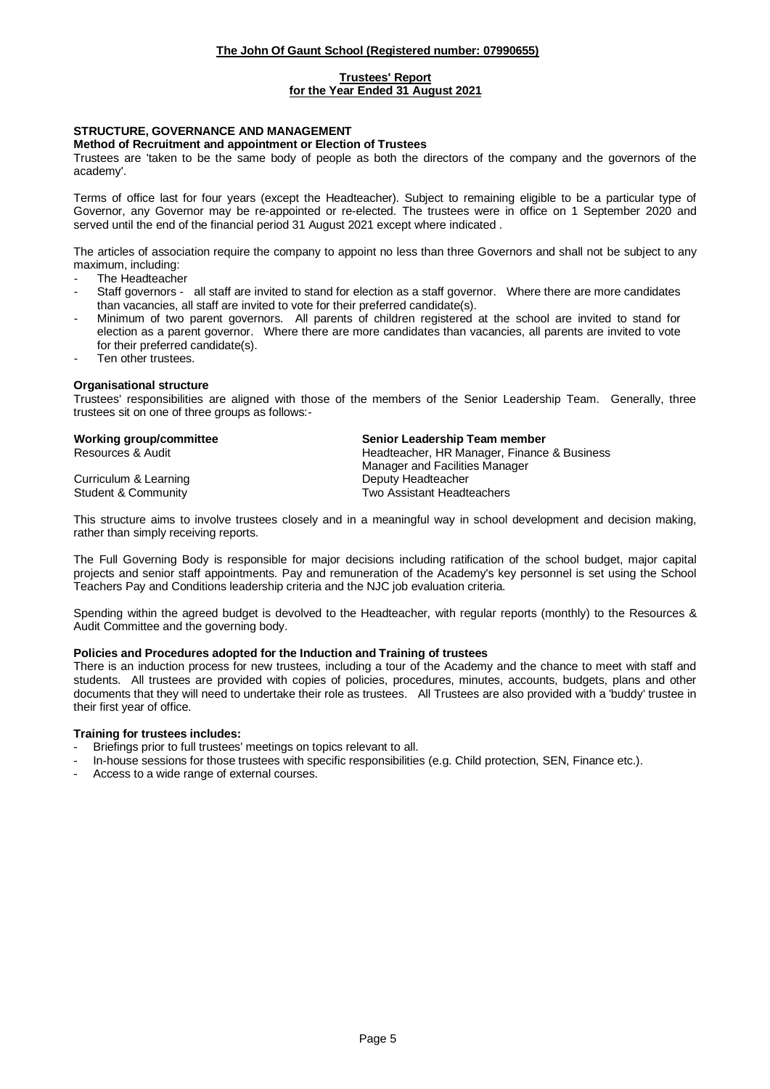### **Trustees' Report for the Year Ended 31 August 2021**

### **STRUCTURE, GOVERNANCE AND MANAGEMENT**

#### **Method of Recruitment and appointment or Election of Trustees**

Trustees are 'taken to be the same body of people as both the directors of the company and the governors of the academy'.

Terms of office last for four years (except the Headteacher). Subject to remaining eligible to be a particular type of Governor, any Governor may be re-appointed or re-elected. The trustees were in office on 1 September 2020 and served until the end of the financial period 31 August 2021 except where indicated .

The articles of association require the company to appoint no less than three Governors and shall not be subject to any maximum, including:

- The Headteacher
- Staff governors all staff are invited to stand for election as a staff governor. Where there are more candidates than vacancies, all staff are invited to vote for their preferred candidate(s).
- Minimum of two parent governors. All parents of children registered at the school are invited to stand for election as a parent governor. Where there are more candidates than vacancies, all parents are invited to vote for their preferred candidate(s).
- Ten other trustees.

#### **Organisational structure**

Trustees' responsibilities are aligned with those of the members of the Senior Leadership Team. Generally, three trustees sit on one of three groups as follows:-

Curriculum & Learning **Deputy Headteacher Deputy Headteacher** 

**Working group/committee Senior Leadership Team member** Resources & Audit **Headteacher, HR Manager, Finance & Business** Headteacher, HR Manager, Finance & Business Manager and Facilities Manager Student & Community Two Assistant Headteachers

This structure aims to involve trustees closely and in a meaningful way in school development and decision making, rather than simply receiving reports.

The Full Governing Body is responsible for major decisions including ratification of the school budget, major capital projects and senior staff appointments. Pay and remuneration of the Academy's key personnel is set using the School Teachers Pay and Conditions leadership criteria and the NJC job evaluation criteria.

Spending within the agreed budget is devolved to the Headteacher, with regular reports (monthly) to the Resources & Audit Committee and the governing body.

#### **Policies and Procedures adopted for the Induction and Training of trustees**

There is an induction process for new trustees, including a tour of the Academy and the chance to meet with staff and students. All trustees are provided with copies of policies, procedures, minutes, accounts, budgets, plans and other documents that they will need to undertake their role as trustees. All Trustees are also provided with a 'buddy' trustee in their first year of office.

### **Training for trustees includes:**

- Briefings prior to full trustees' meetings on topics relevant to all.
- In-house sessions for those trustees with specific responsibilities (e.g. Child protection, SEN, Finance etc.).
- Access to a wide range of external courses.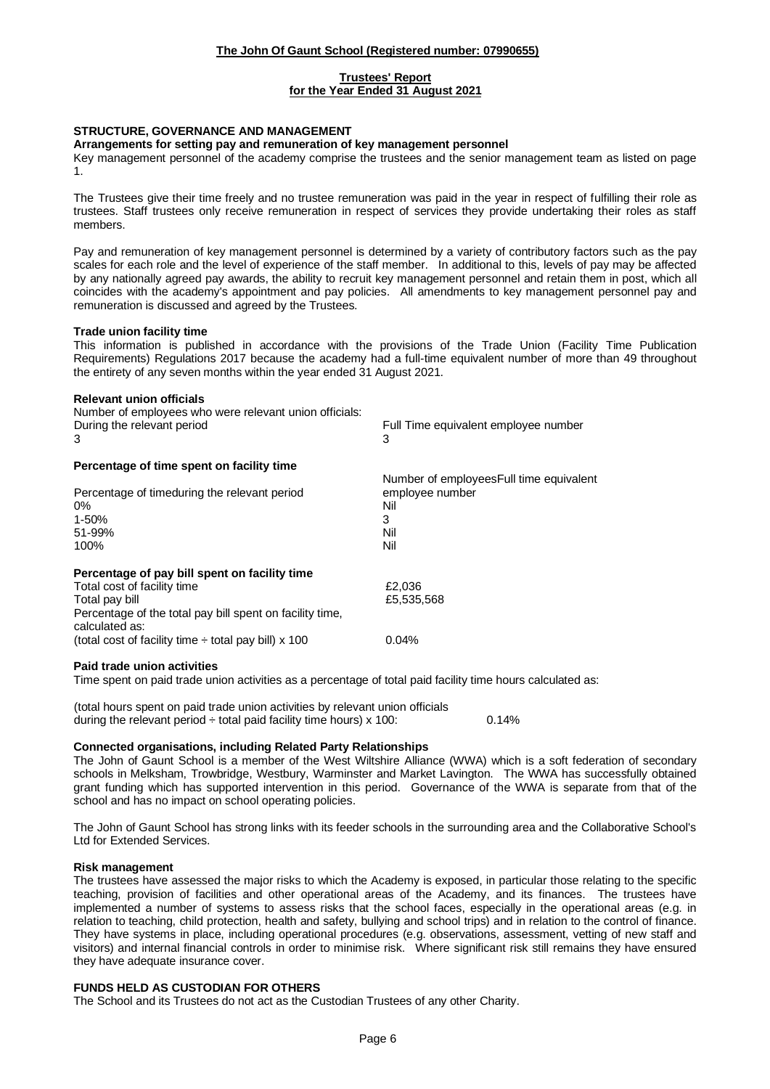### **Trustees' Report**

### **for the Year Ended 31 August 2021**

### **STRUCTURE, GOVERNANCE AND MANAGEMENT**

#### **Arrangements for setting pay and remuneration of key management personnel**

Key management personnel of the academy comprise the trustees and the senior management team as listed on page 1.

The Trustees give their time freely and no trustee remuneration was paid in the year in respect of fulfilling their role as trustees. Staff trustees only receive remuneration in respect of services they provide undertaking their roles as staff members.

Pay and remuneration of key management personnel is determined by a variety of contributory factors such as the pay scales for each role and the level of experience of the staff member. In additional to this, levels of pay may be affected by any nationally agreed pay awards, the ability to recruit key management personnel and retain them in post, which all coincides with the academy's appointment and pay policies. All amendments to key management personnel pay and remuneration is discussed and agreed by the Trustees.

### **Trade union facility time**

This information is published in accordance with the provisions of the Trade Union (Facility Time Publication Requirements) Regulations 2017 because the academy had a full-time equivalent number of more than 49 throughout the entirety of any seven months within the year ended 31 August 2021.

#### **Relevant union officials**

| Number of employees who were relevant union officials:<br>During the relevant period<br>3                                                                                                                                                 | Full Time equivalent employee number<br>3                                             |
|-------------------------------------------------------------------------------------------------------------------------------------------------------------------------------------------------------------------------------------------|---------------------------------------------------------------------------------------|
| Percentage of time spent on facility time                                                                                                                                                                                                 |                                                                                       |
| Percentage of timeduring the relevant period<br>$0\%$<br>1-50%<br>51-99%<br>100%                                                                                                                                                          | Number of employees Full time equivalent<br>employee number<br>Nil<br>3<br>Nil<br>Nil |
| Percentage of pay bill spent on facility time<br>Total cost of facility time<br>Total pay bill<br>Percentage of the total pay bill spent on facility time,<br>calculated as:<br>(total cost of facility time $\div$ total pay bill) x 100 | £2,036<br>£5,535,568<br>0.04%                                                         |

#### **Paid trade union activities**

Time spent on paid trade union activities as a percentage of total paid facility time hours calculated as:

(total hours spent on paid trade union activities by relevant union officials during the relevant period  $\div$  total paid facility time hours) x 100: 0.14%

#### **Connected organisations, including Related Party Relationships**

The John of Gaunt School is a member of the West Wiltshire Alliance (WWA) which is a soft federation of secondary schools in Melksham, Trowbridge, Westbury, Warminster and Market Lavington. The WWA has successfully obtained grant funding which has supported intervention in this period. Governance of the WWA is separate from that of the school and has no impact on school operating policies.

The John of Gaunt School has strong links with its feeder schools in the surrounding area and the Collaborative School's Ltd for Extended Services.

#### **Risk management**

The trustees have assessed the major risks to which the Academy is exposed, in particular those relating to the specific teaching, provision of facilities and other operational areas of the Academy, and its finances. The trustees have implemented a number of systems to assess risks that the school faces, especially in the operational areas (e.g. in relation to teaching, child protection, health and safety, bullying and school trips) and in relation to the control of finance. They have systems in place, including operational procedures (e.g. observations, assessment, vetting of new staff and visitors) and internal financial controls in order to minimise risk. Where significant risk still remains they have ensured they have adequate insurance cover.

#### **FUNDS HELD AS CUSTODIAN FOR OTHERS**

The School and its Trustees do not act as the Custodian Trustees of any other Charity.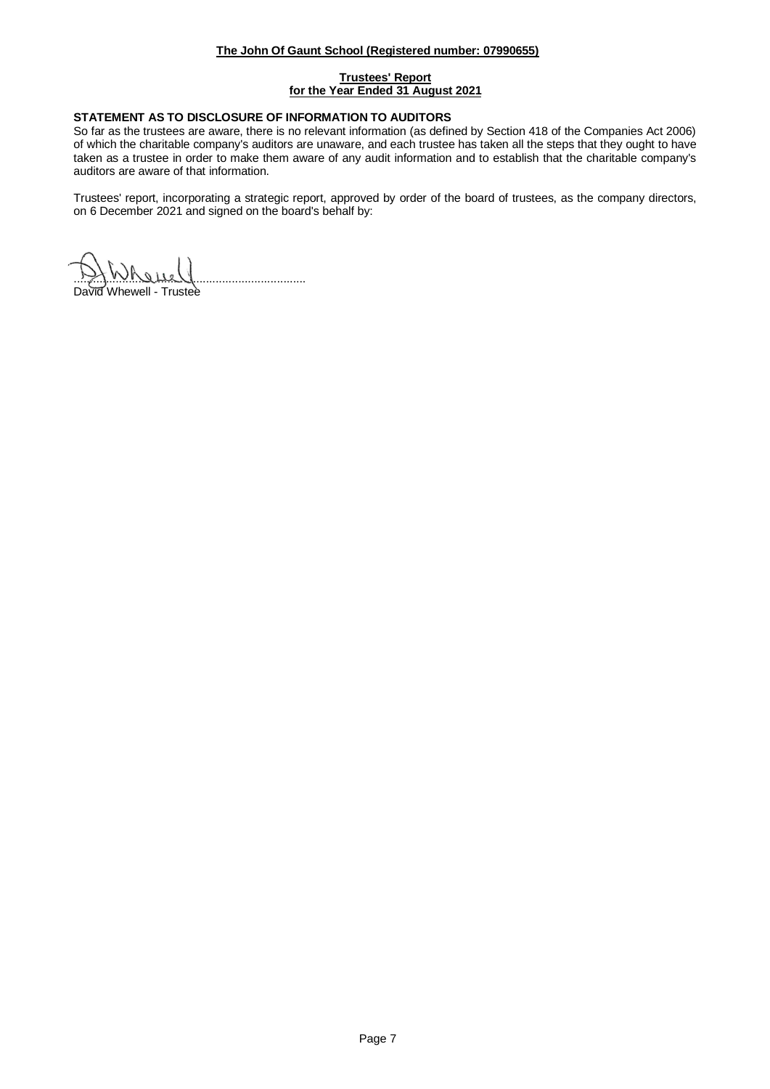### **Trustees' Report for the Year Ended 31 August 2021**

### **STATEMENT AS TO DISCLOSURE OF INFORMATION TO AUDITORS**

So far as the trustees are aware, there is no relevant information (as defined by Section 418 of the Companies Act 2006) of which the charitable company's auditors are unaware, and each trustee has taken all the steps that they ought to have taken as a trustee in order to make them aware of any audit information and to establish that the charitable company's auditors are aware of that information.

Trustees' report, incorporating a strategic report, approved by order of the board of trustees, as the company directors, on 6 December 2021 and signed on the board's behalf by:

........................................................................

David Whewell - Trustee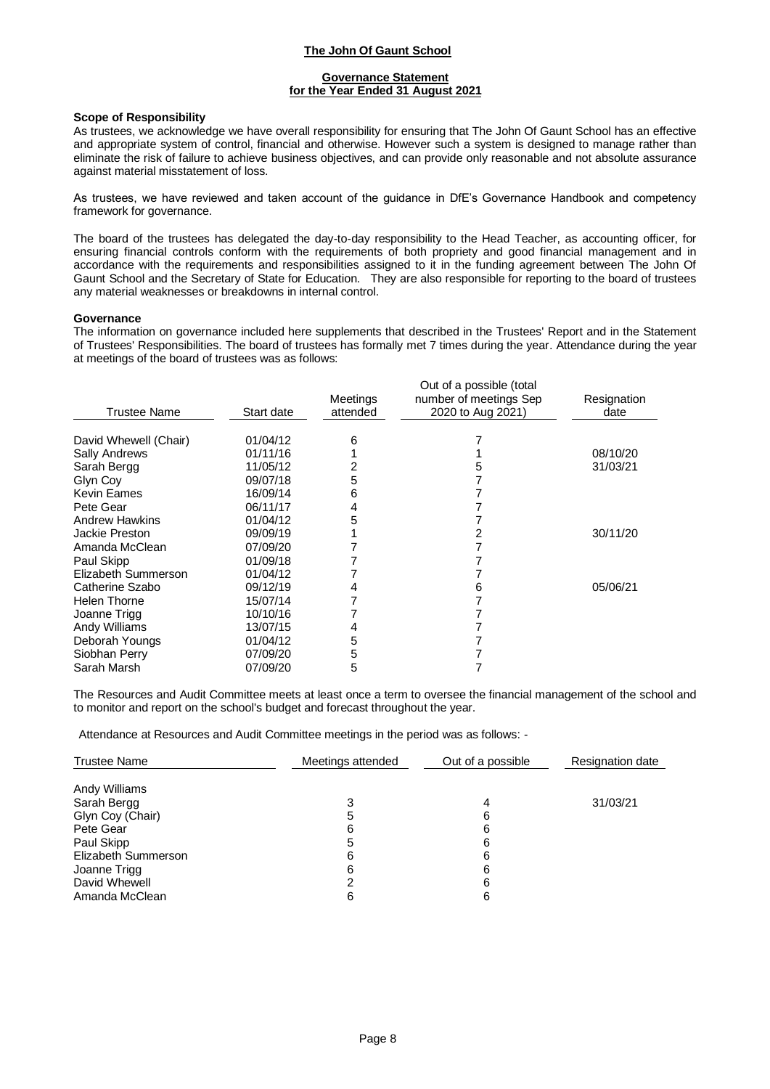### **Governance Statement for the Year Ended 31 August 2021**

#### **Scope of Responsibility**

As trustees, we acknowledge we have overall responsibility for ensuring that The John Of Gaunt School has an effective and appropriate system of control, financial and otherwise. However such a system is designed to manage rather than eliminate the risk of failure to achieve business objectives, and can provide only reasonable and not absolute assurance against material misstatement of loss.

As trustees, we have reviewed and taken account of the guidance in DfE's Governance Handbook and competency framework for governance.

The board of the trustees has delegated the day-to-day responsibility to the Head Teacher, as accounting officer, for ensuring financial controls conform with the requirements of both propriety and good financial management and in accordance with the requirements and responsibilities assigned to it in the funding agreement between The John Of Gaunt School and the Secretary of State for Education. They are also responsible for reporting to the board of trustees any material weaknesses or breakdowns in internal control.

#### **Governance**

The information on governance included here supplements that described in the Trustees' Report and in the Statement of Trustees' Responsibilities. The board of trustees has formally met 7 times during the year. Attendance during the year at meetings of the board of trustees was as follows:

|                       |            | Meetings | Out of a possible (total<br>number of meetings Sep | Resignation |
|-----------------------|------------|----------|----------------------------------------------------|-------------|
| <b>Trustee Name</b>   | Start date | attended | 2020 to Aug 2021)                                  | date        |
| David Whewell (Chair) | 01/04/12   | 6        |                                                    |             |
| <b>Sally Andrews</b>  | 01/11/16   |          |                                                    | 08/10/20    |
| Sarah Bergg           | 11/05/12   |          |                                                    | 31/03/21    |
| Glyn Coy              | 09/07/18   | 5        |                                                    |             |
| <b>Kevin Eames</b>    | 16/09/14   | 6        |                                                    |             |
| Pete Gear             | 06/11/17   | 4        |                                                    |             |
| <b>Andrew Hawkins</b> | 01/04/12   | 5        |                                                    |             |
| Jackie Preston        | 09/09/19   |          |                                                    | 30/11/20    |
| Amanda McClean        | 07/09/20   |          |                                                    |             |
| Paul Skipp            | 01/09/18   |          |                                                    |             |
| Elizabeth Summerson   | 01/04/12   |          |                                                    |             |
| Catherine Szabo       | 09/12/19   |          | 6                                                  | 05/06/21    |
| Helen Thorne          | 15/07/14   |          |                                                    |             |
| Joanne Trigg          | 10/10/16   |          |                                                    |             |
| Andy Williams         | 13/07/15   | 4        |                                                    |             |
| Deborah Youngs        | 01/04/12   | 5        |                                                    |             |
| Siobhan Perry         | 07/09/20   | 5        |                                                    |             |
| Sarah Marsh           | 07/09/20   | 5        |                                                    |             |

The Resources and Audit Committee meets at least once a term to oversee the financial management of the school and to monitor and report on the school's budget and forecast throughout the year.

Attendance at Resources and Audit Committee meetings in the period was as follows: -

|   | Out of a possible           | <b>Resignation date</b> |
|---|-----------------------------|-------------------------|
|   |                             |                         |
|   |                             | 31/03/21                |
|   |                             |                         |
|   |                             |                         |
| 5 | 6                           |                         |
| 6 | 6                           |                         |
| 6 | 6                           |                         |
|   | 6                           |                         |
| 6 | 6                           |                         |
|   | Meetings attended<br>5<br>6 | 4<br>6<br>6             |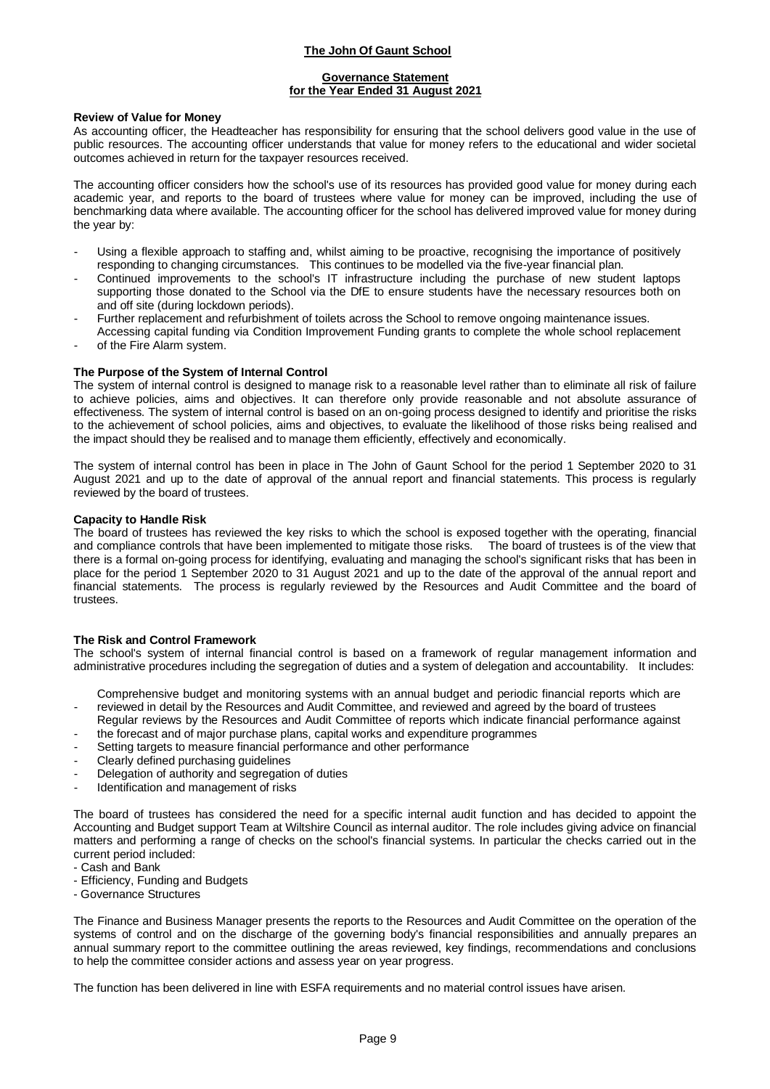### **Governance Statement for the Year Ended 31 August 2021**

### **Review of Value for Money**

As accounting officer, the Headteacher has responsibility for ensuring that the school delivers good value in the use of public resources. The accounting officer understands that value for money refers to the educational and wider societal outcomes achieved in return for the taxpayer resources received.

The accounting officer considers how the school's use of its resources has provided good value for money during each academic year, and reports to the board of trustees where value for money can be improved, including the use of benchmarking data where available. The accounting officer for the school has delivered improved value for money during the year by:

- Using a flexible approach to staffing and, whilst aiming to be proactive, recognising the importance of positively responding to changing circumstances. This continues to be modelled via the five-year financial plan.
- Continued improvements to the school's IT infrastructure including the purchase of new student laptops supporting those donated to the School via the DfE to ensure students have the necessary resources both on and off site (during lockdown periods).
- Further replacement and refurbishment of toilets across the School to remove ongoing maintenance issues. Accessing capital funding via Condition Improvement Funding grants to complete the whole school replacement
- of the Fire Alarm system.

### **The Purpose of the System of Internal Control**

The system of internal control is designed to manage risk to a reasonable level rather than to eliminate all risk of failure to achieve policies, aims and objectives. It can therefore only provide reasonable and not absolute assurance of effectiveness. The system of internal control is based on an on-going process designed to identify and prioritise the risks to the achievement of school policies, aims and objectives, to evaluate the likelihood of those risks being realised and the impact should they be realised and to manage them efficiently, effectively and economically.

The system of internal control has been in place in The John of Gaunt School for the period 1 September 2020 to 31 August 2021 and up to the date of approval of the annual report and financial statements. This process is regularly reviewed by the board of trustees.

#### **Capacity to Handle Risk**

The board of trustees has reviewed the key risks to which the school is exposed together with the operating, financial and compliance controls that have been implemented to mitigate those risks. The board of trustees is of the view that there is a formal on-going process for identifying, evaluating and managing the school's significant risks that has been in place for the period 1 September 2020 to 31 August 2021 and up to the date of the approval of the annual report and financial statements. The process is regularly reviewed by the Resources and Audit Committee and the board of trustees.

#### **The Risk and Control Framework**

The school's system of internal financial control is based on a framework of regular management information and administrative procedures including the segregation of duties and a system of delegation and accountability. It includes:

Comprehensive budget and monitoring systems with an annual budget and periodic financial reports which are

- reviewed in detail by the Resources and Audit Committee, and reviewed and agreed by the board of trustees
- Regular reviews by the Resources and Audit Committee of reports which indicate financial performance against
- the forecast and of major purchase plans, capital works and expenditure programmes
- Setting targets to measure financial performance and other performance
- Clearly defined purchasing guidelines
- Delegation of authority and segregation of duties
- Identification and management of risks

The board of trustees has considered the need for a specific internal audit function and has decided to appoint the Accounting and Budget support Team at Wiltshire Council as internal auditor. The role includes giving advice on financial matters and performing a range of checks on the school's financial systems. In particular the checks carried out in the current period included:

- Cash and Bank
- Efficiency, Funding and Budgets
- Governance Structures

The Finance and Business Manager presents the reports to the Resources and Audit Committee on the operation of the systems of control and on the discharge of the governing body's financial responsibilities and annually prepares an annual summary report to the committee outlining the areas reviewed, key findings, recommendations and conclusions to help the committee consider actions and assess year on year progress.

The function has been delivered in line with ESFA requirements and no material control issues have arisen.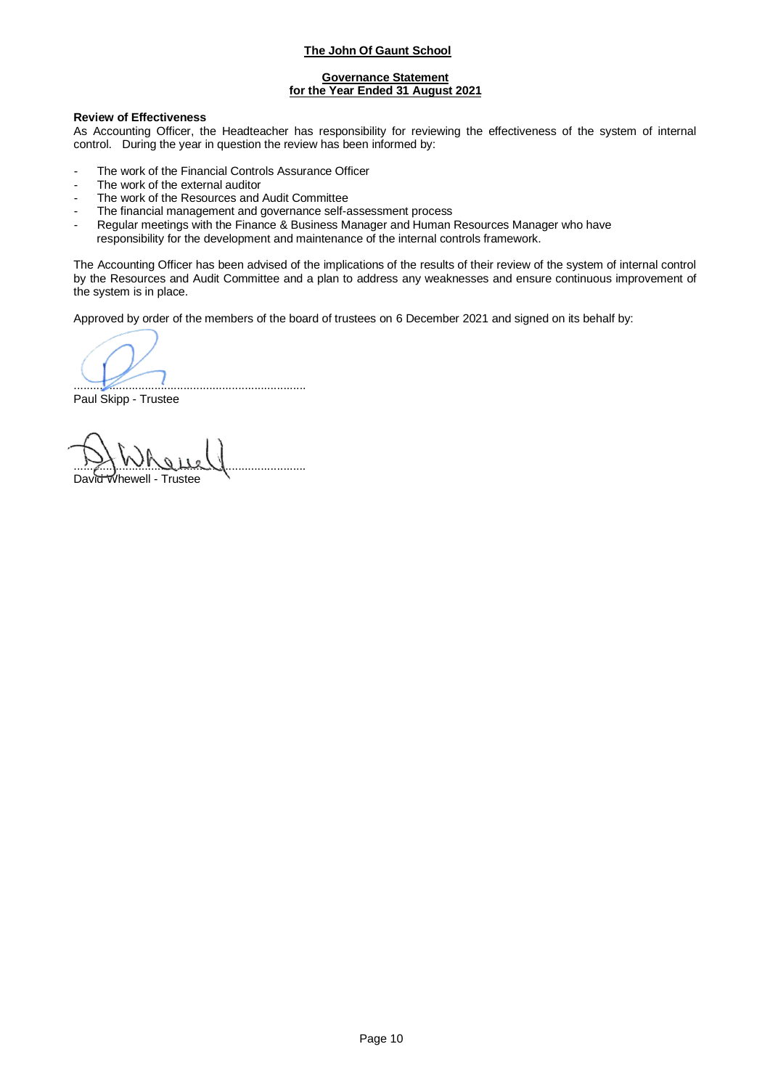### **Governance Statement for the Year Ended 31 August 2021**

### **Review of Effectiveness**

As Accounting Officer, the Headteacher has responsibility for reviewing the effectiveness of the system of internal control. During the year in question the review has been informed by:

- The work of the Financial Controls Assurance Officer
- The work of the external auditor
- The work of the Resources and Audit Committee
- The financial management and governance self-assessment process
- Regular meetings with the Finance & Business Manager and Human Resources Manager who have responsibility for the development and maintenance of the internal controls framework.

The Accounting Officer has been advised of the implications of the results of their review of the system of internal control by the Resources and Audit Committee and a plan to address any weaknesses and ensure continuous improvement of the system is in place.

Approved by order of the members of the board of trustees on 6 December 2021 and signed on its behalf by:

........................................................................

Paul Skipp - Trustee

<u>ry ividue y</u>

David Whewell - Trustee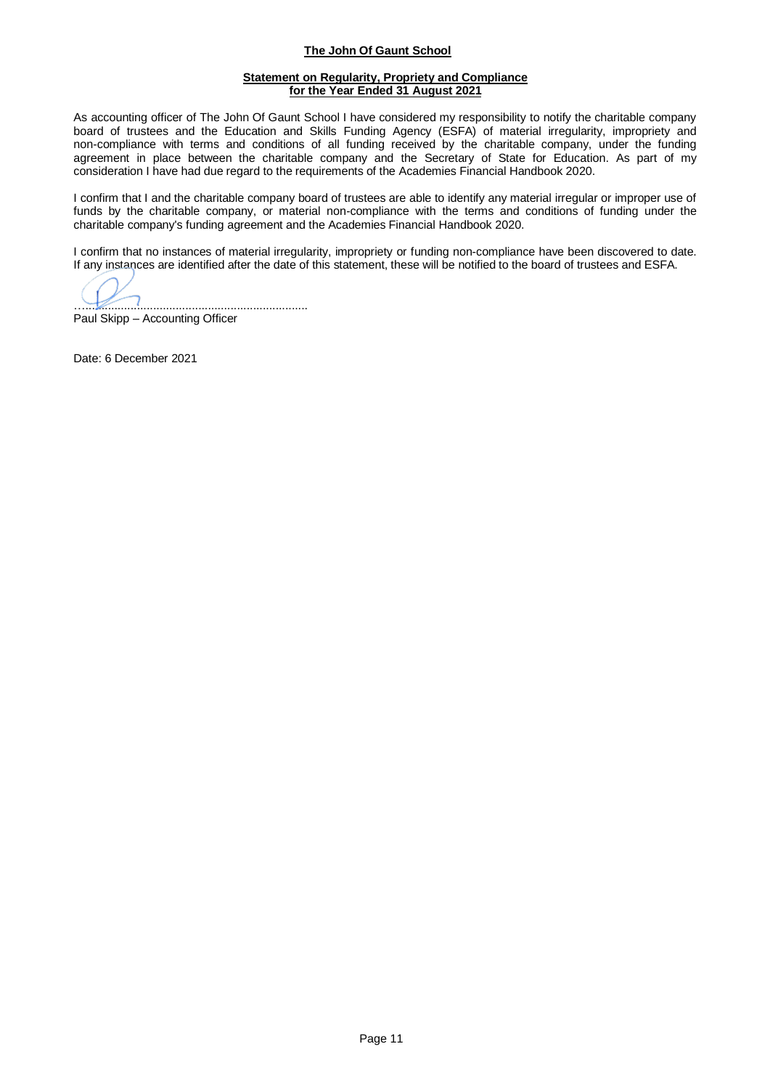### **Statement on Regularity, Propriety and Compliance for the Year Ended 31 August 2021**

As accounting officer of The John Of Gaunt School I have considered my responsibility to notify the charitable company board of trustees and the Education and Skills Funding Agency (ESFA) of material irregularity, impropriety and non-compliance with terms and conditions of all funding received by the charitable company, under the funding agreement in place between the charitable company and the Secretary of State for Education. As part of my consideration I have had due regard to the requirements of the Academies Financial Handbook 2020.

I confirm that I and the charitable company board of trustees are able to identify any material irregular or improper use of funds by the charitable company, or material non-compliance with the terms and conditions of funding under the charitable company's funding agreement and the Academies Financial Handbook 2020.

I confirm that no instances of material irregularity, impropriety or funding non-compliance have been discovered to date. If any instances are identified after the date of this statement, these will be notified to the board of trustees and ESFA.

….....................................................................

Paul Skipp – Accounting Officer

Date: 6 December 2021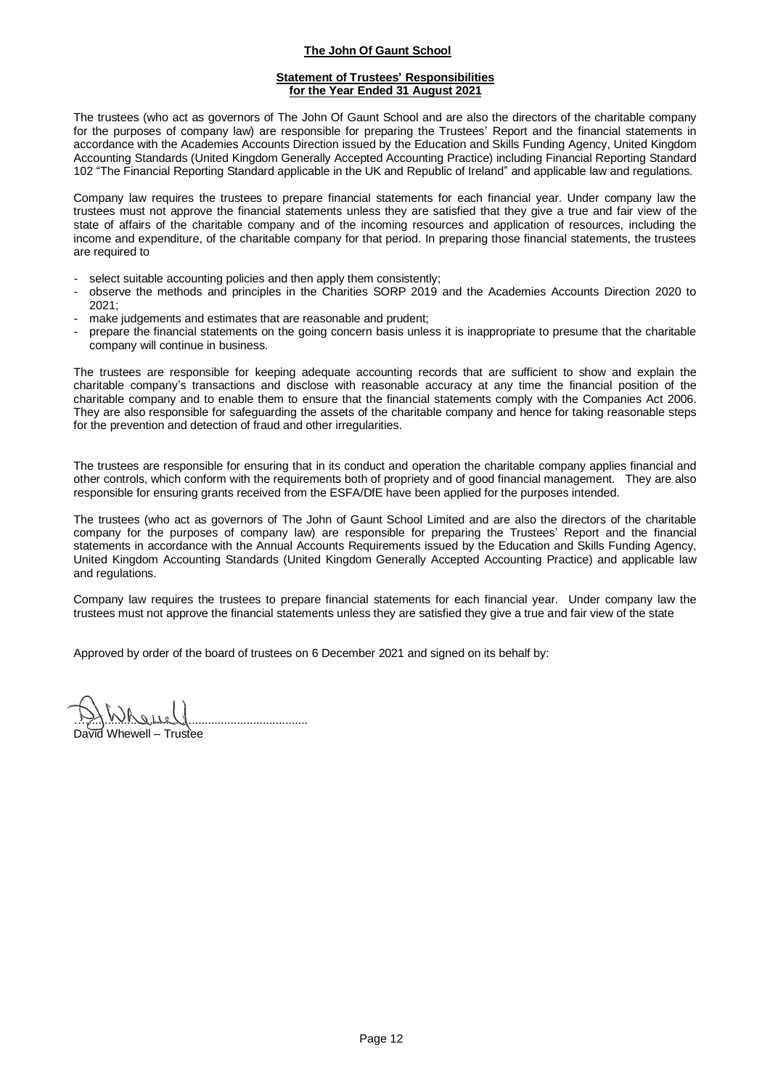### **Statement of Trustees' Responsibilities for the Year Ended 31 August 2021**

The trustees (who act as governors of The John Of Gaunt School and are also the directors of the charitable company for the purposes of company law) are responsible for preparing the Trustees' Report and the financial statements in accordance with the Academies Accounts Direction issued by the Education and Skills Funding Agency, United Kingdom Accounting Standards (United Kingdom Generally Accepted Accounting Practice) including Financial Reporting Standard 102 "The Financial Reporting Standard applicable in the UK and Republic of Ireland" and applicable law and regulations.

Company law requires the trustees to prepare financial statements for each financial year. Under company law the trustees must not approve the financial statements unless they are satisfied that they give a true and fair view of the state of affairs of the charitable company and of the incoming resources and application of resources, including the income and expenditure, of the charitable company for that period. In preparing those financial statements, the trustees are required to

- select suitable accounting policies and then apply them consistently;
- observe the methods and principles in the Charities SORP 2019 and the Academies Accounts Direction 2020 to 2021;
- make judgements and estimates that are reasonable and prudent;
- prepare the financial statements on the going concern basis unless it is inappropriate to presume that the charitable company will continue in business.

The trustees are responsible for keeping adequate accounting records that are sufficient to show and explain the charitable company's transactions and disclose with reasonable accuracy at any time the financial position of the charitable company and to enable them to ensure that the financial statements comply with the Companies Act 2006. They are also responsible for safeguarding the assets of the charitable company and hence for taking reasonable steps for the prevention and detection of fraud and other irregularities.

The trustees are responsible for ensuring that in its conduct and operation the charitable company applies financial and other controls, which conform with the requirements both of propriety and of good financial management. They are also responsible for ensuring grants received from the ESFA/DfE have been applied for the purposes intended.

The trustees (who act as governors of The John of Gaunt School Limited and are also the directors of the charitable company for the purposes of company law) are responsible for preparing the Trustees' Report and the financial statements in accordance with the Annual Accounts Requirements issued by the Education and Skills Funding Agency, United Kingdom Accounting Standards (United Kingdom Generally Accepted Accounting Practice) and applicable law and regulations.

Company law requires the trustees to prepare financial statements for each financial year. Under company law the trustees must not approve the financial statements unless they are satisfied they give a true and fair view of the state

Approved by order of the board of trustees on 6 December 2021 and signed on its behalf by:

<u>Reney 1</u>

David Whewell – Trustee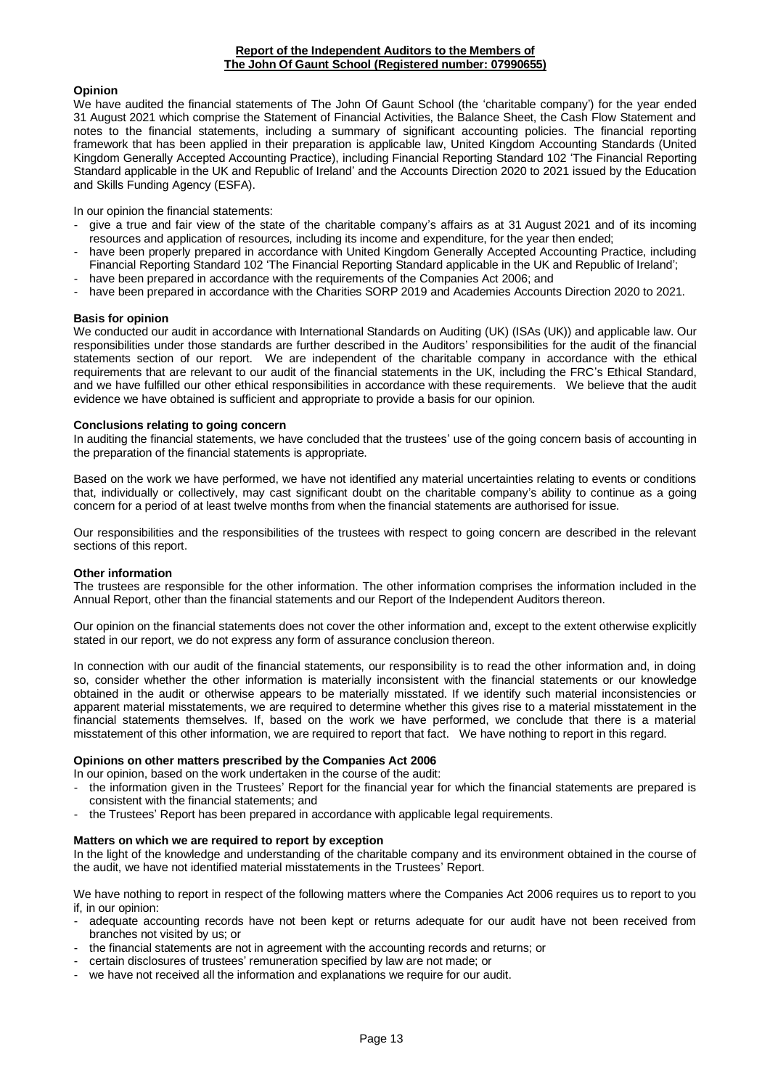### **Opinion**

We have audited the financial statements of The John Of Gaunt School (the 'charitable company') for the year ended 31 August 2021 which comprise the Statement of Financial Activities, the Balance Sheet, the Cash Flow Statement and notes to the financial statements, including a summary of significant accounting policies. The financial reporting framework that has been applied in their preparation is applicable law, United Kingdom Accounting Standards (United Kingdom Generally Accepted Accounting Practice), including Financial Reporting Standard 102 'The Financial Reporting Standard applicable in the UK and Republic of Ireland' and the Accounts Direction 2020 to 2021 issued by the Education and Skills Funding Agency (ESFA).

In our opinion the financial statements:

- give a true and fair view of the state of the charitable company's affairs as at 31 August 2021 and of its incoming resources and application of resources, including its income and expenditure, for the year then ended;
- have been properly prepared in accordance with United Kingdom Generally Accepted Accounting Practice, including Financial Reporting Standard 102 'The Financial Reporting Standard applicable in the UK and Republic of Ireland';
- have been prepared in accordance with the requirements of the Companies Act 2006; and
- have been prepared in accordance with the Charities SORP 2019 and Academies Accounts Direction 2020 to 2021.

### **Basis for opinion**

We conducted our audit in accordance with International Standards on Auditing (UK) (ISAs (UK)) and applicable law. Our responsibilities under those standards are further described in the Auditors' responsibilities for the audit of the financial statements section of our report. We are independent of the charitable company in accordance with the ethical requirements that are relevant to our audit of the financial statements in the UK, including the FRC's Ethical Standard, and we have fulfilled our other ethical responsibilities in accordance with these requirements. We believe that the audit evidence we have obtained is sufficient and appropriate to provide a basis for our opinion.

## **Conclusions relating to going concern**

In auditing the financial statements, we have concluded that the trustees' use of the going concern basis of accounting in the preparation of the financial statements is appropriate.

Based on the work we have performed, we have not identified any material uncertainties relating to events or conditions that, individually or collectively, may cast significant doubt on the charitable company's ability to continue as a going concern for a period of at least twelve months from when the financial statements are authorised for issue.

Our responsibilities and the responsibilities of the trustees with respect to going concern are described in the relevant sections of this report.

#### **Other information**

The trustees are responsible for the other information. The other information comprises the information included in the Annual Report, other than the financial statements and our Report of the Independent Auditors thereon.

Our opinion on the financial statements does not cover the other information and, except to the extent otherwise explicitly stated in our report, we do not express any form of assurance conclusion thereon.

In connection with our audit of the financial statements, our responsibility is to read the other information and, in doing so, consider whether the other information is materially inconsistent with the financial statements or our knowledge obtained in the audit or otherwise appears to be materially misstated. If we identify such material inconsistencies or apparent material misstatements, we are required to determine whether this gives rise to a material misstatement in the financial statements themselves. If, based on the work we have performed, we conclude that there is a material misstatement of this other information, we are required to report that fact. We have nothing to report in this regard.

#### **Opinions on other matters prescribed by the Companies Act 2006**

In our opinion, based on the work undertaken in the course of the audit:

- the information given in the Trustees' Report for the financial year for which the financial statements are prepared is consistent with the financial statements; and
- the Trustees' Report has been prepared in accordance with applicable legal requirements.

### **Matters on which we are required to report by exception**

In the light of the knowledge and understanding of the charitable company and its environment obtained in the course of the audit, we have not identified material misstatements in the Trustees' Report.

We have nothing to report in respect of the following matters where the Companies Act 2006 requires us to report to you if, in our opinion:

- adequate accounting records have not been kept or returns adequate for our audit have not been received from branches not visited by us; or
- the financial statements are not in agreement with the accounting records and returns; or
- certain disclosures of trustees' remuneration specified by law are not made; or
- we have not received all the information and explanations we require for our audit.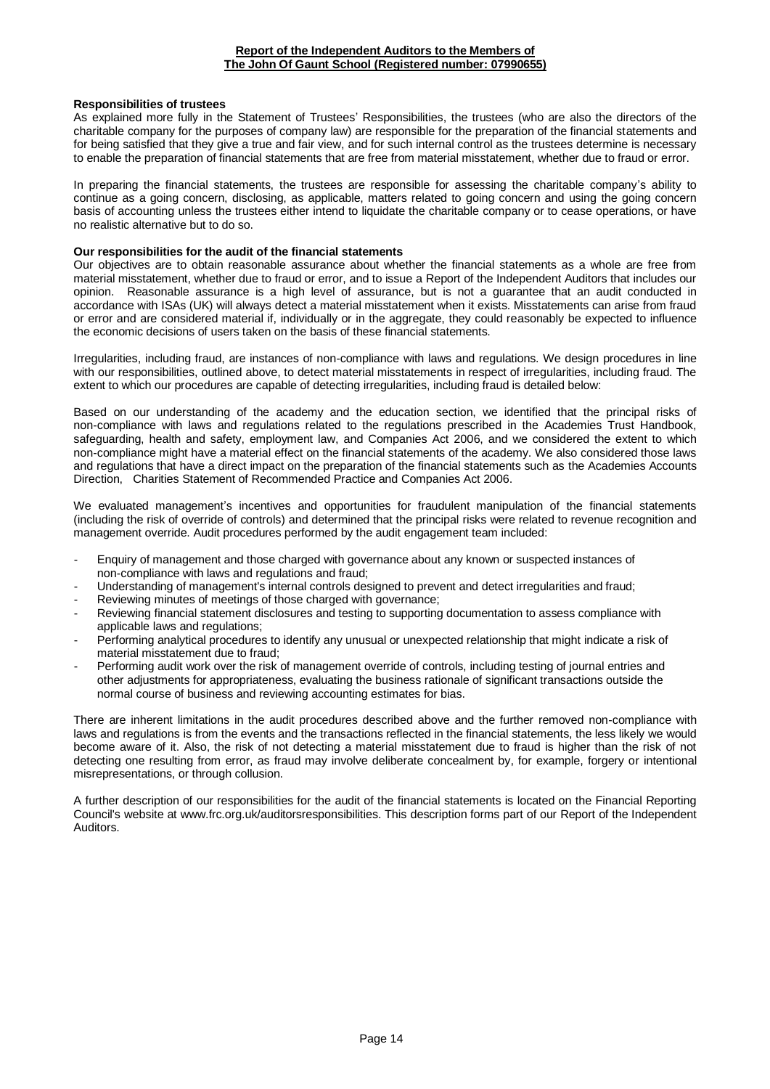### **Responsibilities of trustees**

As explained more fully in the Statement of Trustees' Responsibilities, the trustees (who are also the directors of the charitable company for the purposes of company law) are responsible for the preparation of the financial statements and for being satisfied that they give a true and fair view, and for such internal control as the trustees determine is necessary to enable the preparation of financial statements that are free from material misstatement, whether due to fraud or error.

In preparing the financial statements, the trustees are responsible for assessing the charitable company's ability to continue as a going concern, disclosing, as applicable, matters related to going concern and using the going concern basis of accounting unless the trustees either intend to liquidate the charitable company or to cease operations, or have no realistic alternative but to do so.

### **Our responsibilities for the audit of the financial statements**

Our objectives are to obtain reasonable assurance about whether the financial statements as a whole are free from material misstatement, whether due to fraud or error, and to issue a Report of the Independent Auditors that includes our opinion. Reasonable assurance is a high level of assurance, but is not a guarantee that an audit conducted in accordance with ISAs (UK) will always detect a material misstatement when it exists. Misstatements can arise from fraud or error and are considered material if, individually or in the aggregate, they could reasonably be expected to influence the economic decisions of users taken on the basis of these financial statements.

Irregularities, including fraud, are instances of non-compliance with laws and regulations. We design procedures in line with our responsibilities, outlined above, to detect material misstatements in respect of irregularities, including fraud. The extent to which our procedures are capable of detecting irregularities, including fraud is detailed below:

Based on our understanding of the academy and the education section, we identified that the principal risks of non-compliance with laws and regulations related to the regulations prescribed in the Academies Trust Handbook, safeguarding, health and safety, employment law, and Companies Act 2006, and we considered the extent to which non-compliance might have a material effect on the financial statements of the academy. We also considered those laws and regulations that have a direct impact on the preparation of the financial statements such as the Academies Accounts Direction, Charities Statement of Recommended Practice and Companies Act 2006.

We evaluated management's incentives and opportunities for fraudulent manipulation of the financial statements (including the risk of override of controls) and determined that the principal risks were related to revenue recognition and management override. Audit procedures performed by the audit engagement team included:

- Enquiry of management and those charged with governance about any known or suspected instances of non-compliance with laws and regulations and fraud;
- Understanding of management's internal controls designed to prevent and detect irregularities and fraud;
- Reviewing minutes of meetings of those charged with governance;
- Reviewing financial statement disclosures and testing to supporting documentation to assess compliance with applicable laws and regulations;
- Performing analytical procedures to identify any unusual or unexpected relationship that might indicate a risk of material misstatement due to fraud;
- Performing audit work over the risk of management override of controls, including testing of journal entries and other adjustments for appropriateness, evaluating the business rationale of significant transactions outside the normal course of business and reviewing accounting estimates for bias.

There are inherent limitations in the audit procedures described above and the further removed non-compliance with laws and regulations is from the events and the transactions reflected in the financial statements, the less likely we would become aware of it. Also, the risk of not detecting a material misstatement due to fraud is higher than the risk of not detecting one resulting from error, as fraud may involve deliberate concealment by, for example, forgery or intentional misrepresentations, or through collusion.

A further description of our responsibilities for the audit of the financial statements is located on the Financial Reporting Council's website at www.frc.org.uk/auditorsresponsibilities. This description forms part of our Report of the Independent Auditors.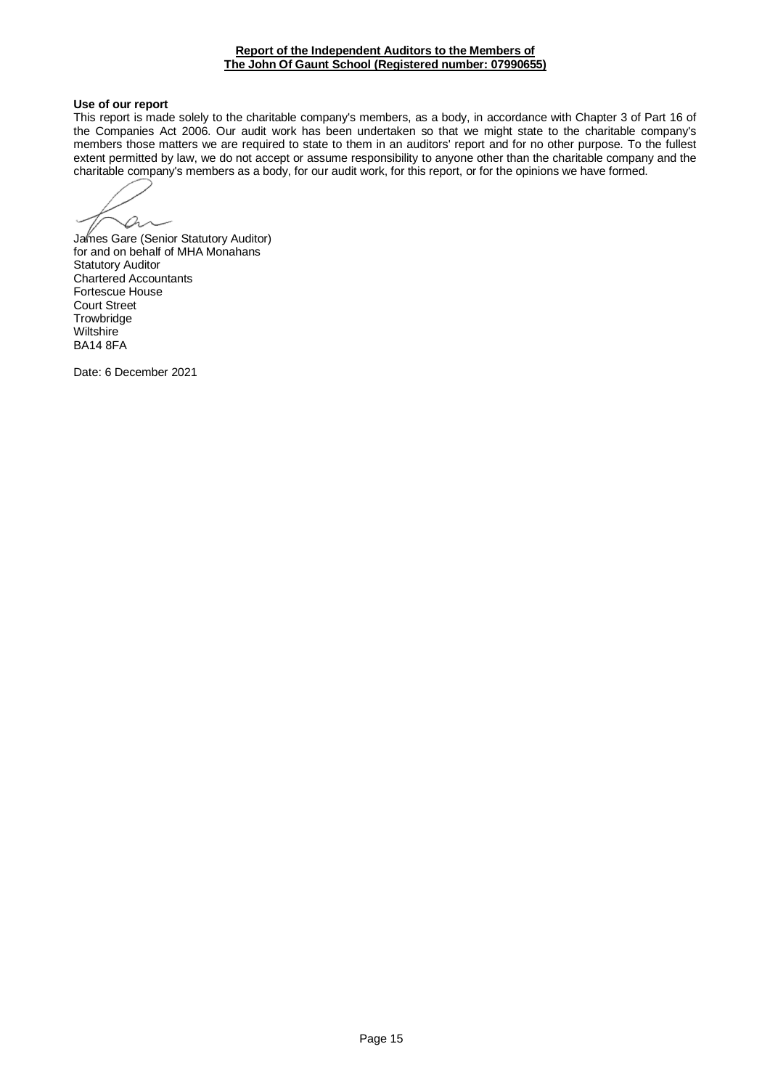#### **Report of the Independent Auditors to the Members of The John Of Gaunt School (Registered number: 07990655)**

### **Use of our report**

This report is made solely to the charitable company's members, as a body, in accordance with Chapter 3 of Part 16 of the Companies Act 2006. Our audit work has been undertaken so that we might state to the charitable company's members those matters we are required to state to them in an auditors' report and for no other purpose. To the fullest extent permitted by law, we do not accept or assume responsibility to anyone other than the charitable company and the charitable company's members as a body, for our audit work, for this report, or for the opinions we have formed.

 $\varphi$ 

James Gare (Senior Statutory Auditor) for and on behalf of MHA Monahans Statutory Auditor Chartered Accountants Fortescue House Court Street **Trowbridge Wiltshire** BA14 8FA

Date: 6 December 2021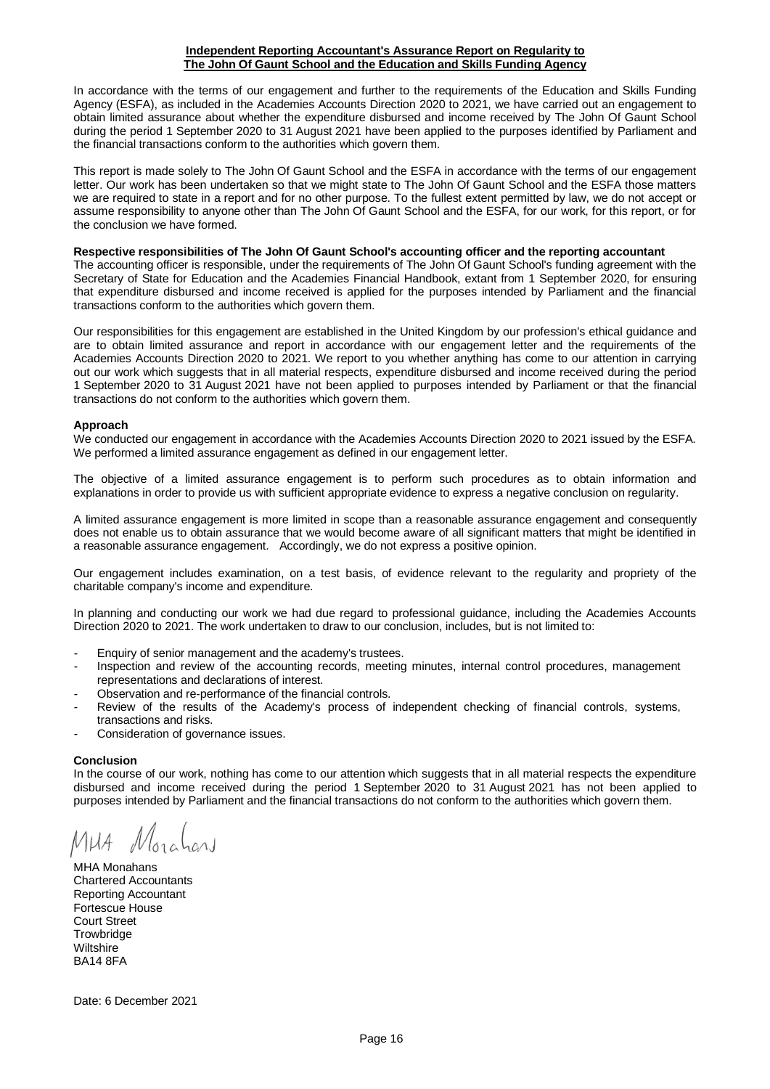#### **Independent Reporting Accountant's Assurance Report on Regularity to The John Of Gaunt School and the Education and Skills Funding Agency**

In accordance with the terms of our engagement and further to the requirements of the Education and Skills Funding Agency (ESFA), as included in the Academies Accounts Direction 2020 to 2021, we have carried out an engagement to obtain limited assurance about whether the expenditure disbursed and income received by The John Of Gaunt School during the period 1 September 2020 to 31 August 2021 have been applied to the purposes identified by Parliament and the financial transactions conform to the authorities which govern them.

This report is made solely to The John Of Gaunt School and the ESFA in accordance with the terms of our engagement letter. Our work has been undertaken so that we might state to The John Of Gaunt School and the ESFA those matters we are required to state in a report and for no other purpose. To the fullest extent permitted by law, we do not accept or assume responsibility to anyone other than The John Of Gaunt School and the ESFA, for our work, for this report, or for the conclusion we have formed.

### **Respective responsibilities of The John Of Gaunt School's accounting officer and the reporting accountant**

The accounting officer is responsible, under the requirements of The John Of Gaunt School's funding agreement with the Secretary of State for Education and the Academies Financial Handbook, extant from 1 September 2020, for ensuring that expenditure disbursed and income received is applied for the purposes intended by Parliament and the financial transactions conform to the authorities which govern them.

Our responsibilities for this engagement are established in the United Kingdom by our profession's ethical guidance and are to obtain limited assurance and report in accordance with our engagement letter and the requirements of the Academies Accounts Direction 2020 to 2021. We report to you whether anything has come to our attention in carrying out our work which suggests that in all material respects, expenditure disbursed and income received during the period 1 September 2020 to 31 August 2021 have not been applied to purposes intended by Parliament or that the financial transactions do not conform to the authorities which govern them.

#### **Approach**

We conducted our engagement in accordance with the Academies Accounts Direction 2020 to 2021 issued by the ESFA. We performed a limited assurance engagement as defined in our engagement letter.

The objective of a limited assurance engagement is to perform such procedures as to obtain information and explanations in order to provide us with sufficient appropriate evidence to express a negative conclusion on regularity.

A limited assurance engagement is more limited in scope than a reasonable assurance engagement and consequently does not enable us to obtain assurance that we would become aware of all significant matters that might be identified in a reasonable assurance engagement. Accordingly, we do not express a positive opinion.

Our engagement includes examination, on a test basis, of evidence relevant to the regularity and propriety of the charitable company's income and expenditure.

In planning and conducting our work we had due regard to professional guidance, including the Academies Accounts Direction 2020 to 2021. The work undertaken to draw to our conclusion, includes, but is not limited to:

- Enquiry of senior management and the academy's trustees.
- Inspection and review of the accounting records, meeting minutes, internal control procedures, management representations and declarations of interest.
- Observation and re-performance of the financial controls.
- Review of the results of the Academy's process of independent checking of financial controls, systems, transactions and risks.
- Consideration of governance issues.

#### **Conclusion**

In the course of our work, nothing has come to our attention which suggests that in all material respects the expenditure disbursed and income received during the period 1 September 2020 to 31 August 2021 has not been applied to purposes intended by Parliament and the financial transactions do not conform to the authorities which govern them.

MHA Monahans Chartered Accountants Reporting Accountant Fortescue House Court Street **Trowbridge Wiltshire** BA14 8FA

Date: 6 December 2021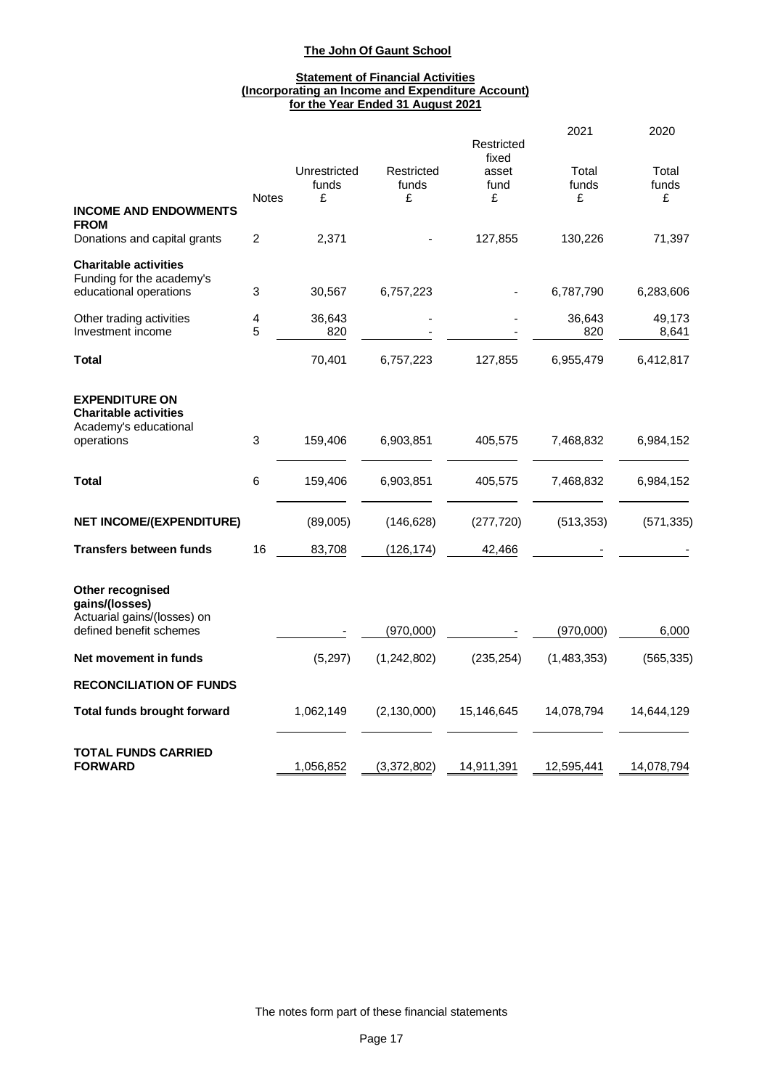### **Statement of Financial Activities (Incorporating an Income and Expenditure Account) for the Year Ended 31 August 2021**

|                                                                                     |              |                            |                          | Restricted<br>fixed | 2021                | 2020                |
|-------------------------------------------------------------------------------------|--------------|----------------------------|--------------------------|---------------------|---------------------|---------------------|
|                                                                                     | <b>Notes</b> | Unrestricted<br>funds<br>£ | Restricted<br>funds<br>£ | asset<br>fund<br>£  | Total<br>funds<br>£ | Total<br>funds<br>£ |
| <b>INCOME AND ENDOWMENTS</b><br><b>FROM</b>                                         |              |                            |                          |                     |                     |                     |
| Donations and capital grants                                                        | 2            | 2,371                      |                          | 127,855             | 130,226             | 71,397              |
| <b>Charitable activities</b><br>Funding for the academy's<br>educational operations | 3            | 30,567                     | 6,757,223                |                     | 6,787,790           | 6,283,606           |
| Other trading activities<br>Investment income                                       | 4<br>5       | 36,643<br>820              |                          |                     | 36,643<br>820       | 49,173<br>8,641     |
| Total                                                                               |              | 70,401                     | 6,757,223                | 127,855             | 6,955,479           | 6,412,817           |
| <b>EXPENDITURE ON</b><br><b>Charitable activities</b><br>Academy's educational      |              |                            |                          |                     |                     |                     |
| operations                                                                          | 3            | 159,406                    | 6,903,851                | 405,575             | 7,468,832           | 6,984,152           |
| Total                                                                               | 6            | 159,406                    | 6,903,851                | 405,575             | 7,468,832           | 6,984,152           |
| <b>NET INCOME/(EXPENDITURE)</b>                                                     |              | (89,005)                   | (146, 628)               | (277, 720)          | (513, 353)          | (571, 335)          |
| <b>Transfers between funds</b>                                                      | 16           | 83,708                     | (126, 174)               | 42,466              |                     |                     |
| Other recognised<br>gains/(losses)<br>Actuarial gains/(losses) on                   |              |                            |                          |                     |                     |                     |
| defined benefit schemes                                                             |              |                            | (970,000)                |                     | (970,000)           | 6,000               |
| Net movement in funds                                                               |              | (5,297)                    | (1,242,802)              | (235, 254)          | (1,483,353)         | (565, 335)          |
| <b>RECONCILIATION OF FUNDS</b>                                                      |              |                            |                          |                     |                     |                     |
| <b>Total funds brought forward</b>                                                  |              | 1,062,149                  | (2, 130, 000)            | 15,146,645          | 14,078,794          | 14,644,129          |
| <b>TOTAL FUNDS CARRIED</b><br><b>FORWARD</b>                                        |              | 1,056,852                  | (3,372,802)              | 14,911,391          | 12,595,441          | 14,078,794          |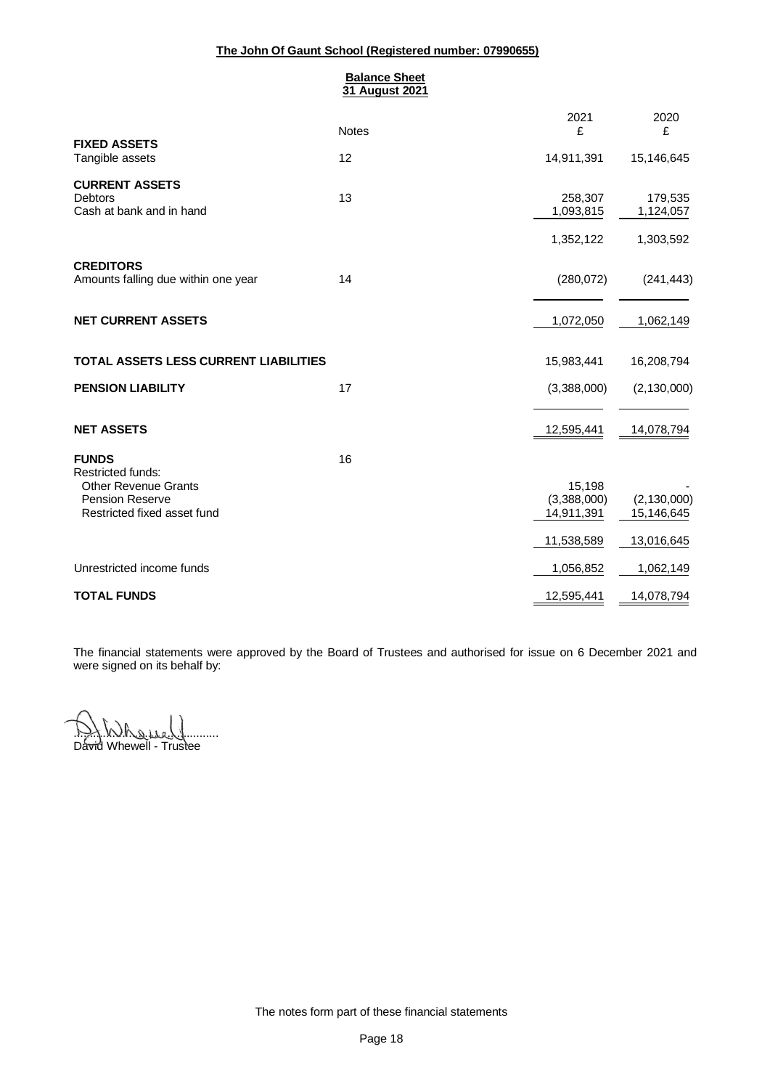### **Balance Sheet 31 August 2021**

|                                                                                      | <b>Notes</b> | 2021<br>£                           | 2020<br>£                         |
|--------------------------------------------------------------------------------------|--------------|-------------------------------------|-----------------------------------|
| <b>FIXED ASSETS</b><br>Tangible assets                                               | 12           | 14,911,391                          | 15,146,645                        |
| <b>CURRENT ASSETS</b><br><b>Debtors</b><br>Cash at bank and in hand                  | 13           | 258,307<br>1,093,815<br>1,352,122   | 179,535<br>1,124,057<br>1,303,592 |
| <b>CREDITORS</b><br>Amounts falling due within one year                              | 14           | (280, 072)                          | (241, 443)                        |
| <b>NET CURRENT ASSETS</b>                                                            |              | 1,072,050                           | 1,062,149                         |
| TOTAL ASSETS LESS CURRENT LIABILITIES                                                |              | 15,983,441                          | 16,208,794                        |
| <b>PENSION LIABILITY</b>                                                             | 17           | (3,388,000)                         | (2, 130, 000)                     |
| <b>NET ASSETS</b>                                                                    |              | 12,595,441                          | 14,078,794                        |
| <b>FUNDS</b><br><b>Restricted funds:</b>                                             | 16           |                                     |                                   |
| <b>Other Revenue Grants</b><br><b>Pension Reserve</b><br>Restricted fixed asset fund |              | 15,198<br>(3,388,000)<br>14,911,391 | (2, 130, 000)<br>15,146,645       |
|                                                                                      |              | 11,538,589                          | 13,016,645                        |
| Unrestricted income funds                                                            |              | 1,056,852                           | 1,062,149                         |
| <b>TOTAL FUNDS</b>                                                                   |              | 12,595,441                          | 14,078,794                        |

The financial statements were approved by the Board of Trustees and authorised for issue on 6 December 2021 and were signed on its behalf by:

<u>.DX.Who.ise.Y</u> David Whewell - Trustee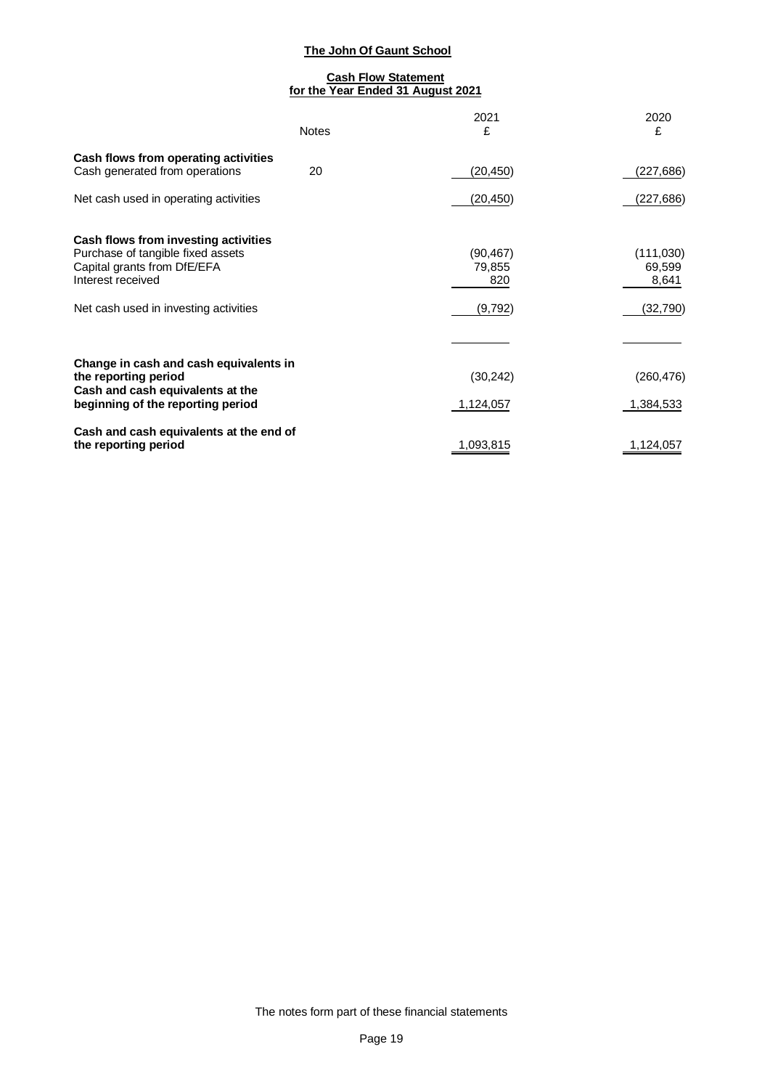### **Cash Flow Statement for the Year Ended 31 August 2021**

|                                                                                                                                                                        | <b>Notes</b> | 2021<br>£                             | 2020<br>£                                 |
|------------------------------------------------------------------------------------------------------------------------------------------------------------------------|--------------|---------------------------------------|-------------------------------------------|
| Cash flows from operating activities<br>Cash generated from operations                                                                                                 | 20           | (20,450)                              | (227,686)                                 |
| Net cash used in operating activities                                                                                                                                  |              | (20, 450)                             | (227,686)                                 |
| Cash flows from investing activities<br>Purchase of tangible fixed assets<br>Capital grants from DfE/EFA<br>Interest received<br>Net cash used in investing activities |              | (90, 467)<br>79,855<br>820<br>(9,792) | (111,030)<br>69,599<br>8,641<br>(32, 790) |
|                                                                                                                                                                        |              |                                       |                                           |
| Change in cash and cash equivalents in<br>the reporting period<br>Cash and cash equivalents at the                                                                     |              | (30, 242)                             | (260, 476)                                |
| beginning of the reporting period                                                                                                                                      |              | 1,124,057                             | 1,384,533                                 |
| Cash and cash equivalents at the end of<br>the reporting period                                                                                                        |              | 1,093,815                             | 1,124,057                                 |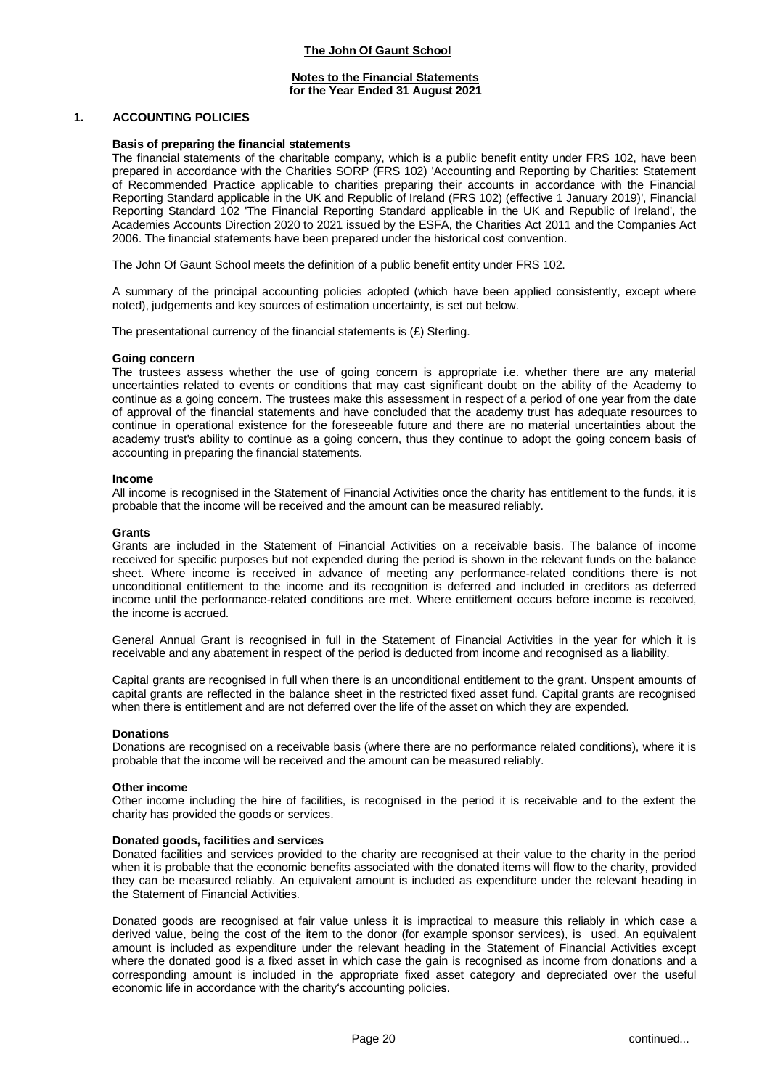#### **Notes to the Financial Statements for the Year Ended 31 August 2021**

### **1. ACCOUNTING POLICIES**

#### **Basis of preparing the financial statements**

The financial statements of the charitable company, which is a public benefit entity under FRS 102, have been prepared in accordance with the Charities SORP (FRS 102) 'Accounting and Reporting by Charities: Statement of Recommended Practice applicable to charities preparing their accounts in accordance with the Financial Reporting Standard applicable in the UK and Republic of Ireland (FRS 102) (effective 1 January 2019)', Financial Reporting Standard 102 'The Financial Reporting Standard applicable in the UK and Republic of Ireland', the Academies Accounts Direction 2020 to 2021 issued by the ESFA, the Charities Act 2011 and the Companies Act 2006. The financial statements have been prepared under the historical cost convention.

The John Of Gaunt School meets the definition of a public benefit entity under FRS 102.

A summary of the principal accounting policies adopted (which have been applied consistently, except where noted), judgements and key sources of estimation uncertainty, is set out below.

The presentational currency of the financial statements is (£) Sterling.

#### **Going concern**

The trustees assess whether the use of going concern is appropriate i.e. whether there are any material uncertainties related to events or conditions that may cast significant doubt on the ability of the Academy to continue as a going concern. The trustees make this assessment in respect of a period of one year from the date of approval of the financial statements and have concluded that the academy trust has adequate resources to continue in operational existence for the foreseeable future and there are no material uncertainties about the academy trust's ability to continue as a going concern, thus they continue to adopt the going concern basis of accounting in preparing the financial statements.

#### **Income**

All income is recognised in the Statement of Financial Activities once the charity has entitlement to the funds, it is probable that the income will be received and the amount can be measured reliably.

#### **Grants**

Grants are included in the Statement of Financial Activities on a receivable basis. The balance of income received for specific purposes but not expended during the period is shown in the relevant funds on the balance sheet. Where income is received in advance of meeting any performance-related conditions there is not unconditional entitlement to the income and its recognition is deferred and included in creditors as deferred income until the performance-related conditions are met. Where entitlement occurs before income is received, the income is accrued.

General Annual Grant is recognised in full in the Statement of Financial Activities in the year for which it is receivable and any abatement in respect of the period is deducted from income and recognised as a liability.

Capital grants are recognised in full when there is an unconditional entitlement to the grant. Unspent amounts of capital grants are reflected in the balance sheet in the restricted fixed asset fund. Capital grants are recognised when there is entitlement and are not deferred over the life of the asset on which they are expended.

#### **Donations**

Donations are recognised on a receivable basis (where there are no performance related conditions), where it is probable that the income will be received and the amount can be measured reliably.

#### **Other income**

Other income including the hire of facilities, is recognised in the period it is receivable and to the extent the charity has provided the goods or services.

#### **Donated goods, facilities and services**

Donated facilities and services provided to the charity are recognised at their value to the charity in the period when it is probable that the economic benefits associated with the donated items will flow to the charity, provided they can be measured reliably. An equivalent amount is included as expenditure under the relevant heading in the Statement of Financial Activities.

Donated goods are recognised at fair value unless it is impractical to measure this reliably in which case a derived value, being the cost of the item to the donor (for example sponsor services), is used. An equivalent amount is included as expenditure under the relevant heading in the Statement of Financial Activities except where the donated good is a fixed asset in which case the gain is recognised as income from donations and a corresponding amount is included in the appropriate fixed asset category and depreciated over the useful economic life in accordance with the charity's accounting policies.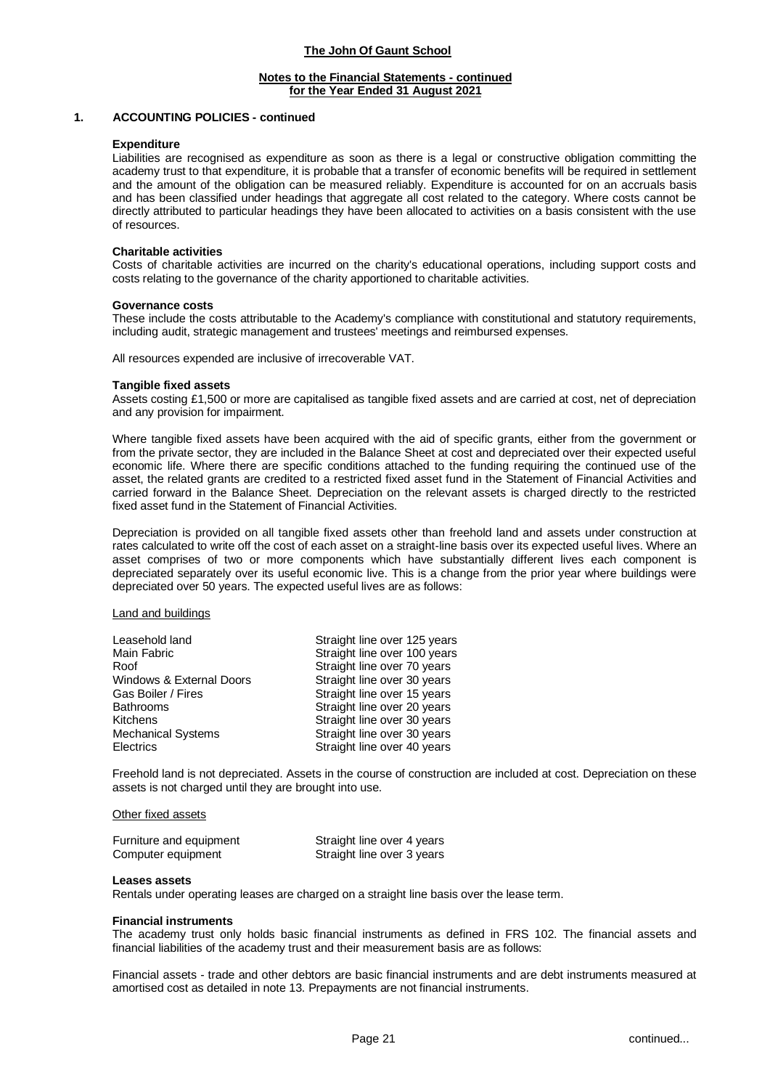### **Notes to the Financial Statements - continued for the Year Ended 31 August 2021**

#### **1. ACCOUNTING POLICIES - continued**

#### **Expenditure**

Liabilities are recognised as expenditure as soon as there is a legal or constructive obligation committing the academy trust to that expenditure, it is probable that a transfer of economic benefits will be required in settlement and the amount of the obligation can be measured reliably. Expenditure is accounted for on an accruals basis and has been classified under headings that aggregate all cost related to the category. Where costs cannot be directly attributed to particular headings they have been allocated to activities on a basis consistent with the use of resources.

### **Charitable activities**

Costs of charitable activities are incurred on the charity's educational operations, including support costs and costs relating to the governance of the charity apportioned to charitable activities.

#### **Governance costs**

These include the costs attributable to the Academy's compliance with constitutional and statutory requirements, including audit, strategic management and trustees' meetings and reimbursed expenses.

All resources expended are inclusive of irrecoverable VAT.

#### **Tangible fixed assets**

Assets costing £1,500 or more are capitalised as tangible fixed assets and are carried at cost, net of depreciation and any provision for impairment.

Where tangible fixed assets have been acquired with the aid of specific grants, either from the government or from the private sector, they are included in the Balance Sheet at cost and depreciated over their expected useful economic life. Where there are specific conditions attached to the funding requiring the continued use of the asset, the related grants are credited to a restricted fixed asset fund in the Statement of Financial Activities and carried forward in the Balance Sheet. Depreciation on the relevant assets is charged directly to the restricted fixed asset fund in the Statement of Financial Activities.

Depreciation is provided on all tangible fixed assets other than freehold land and assets under construction at rates calculated to write off the cost of each asset on a straight-line basis over its expected useful lives. Where an asset comprises of two or more components which have substantially different lives each component is depreciated separately over its useful economic live. This is a change from the prior year where buildings were depreciated over 50 years. The expected useful lives are as follows:

#### Land and buildings

| Leasehold land            | Straight line over 125 years |
|---------------------------|------------------------------|
| Main Fabric               | Straight line over 100 years |
| Roof                      | Straight line over 70 years  |
| Windows & External Doors  | Straight line over 30 years  |
| Gas Boiler / Fires        | Straight line over 15 years  |
| <b>Bathrooms</b>          | Straight line over 20 years  |
| Kitchens                  | Straight line over 30 years  |
| <b>Mechanical Systems</b> | Straight line over 30 years  |
| Electrics                 | Straight line over 40 years  |

Freehold land is not depreciated. Assets in the course of construction are included at cost. Depreciation on these assets is not charged until they are brought into use.

#### Other fixed assets

| Furniture and equipment | Straight line over 4 years |
|-------------------------|----------------------------|
| Computer equipment      | Straight line over 3 years |

#### **Leases assets**

Rentals under operating leases are charged on a straight line basis over the lease term.

#### **Financial instruments**

The academy trust only holds basic financial instruments as defined in FRS 102. The financial assets and financial liabilities of the academy trust and their measurement basis are as follows:

Financial assets - trade and other debtors are basic financial instruments and are debt instruments measured at amortised cost as detailed in note 13. Prepayments are not financial instruments.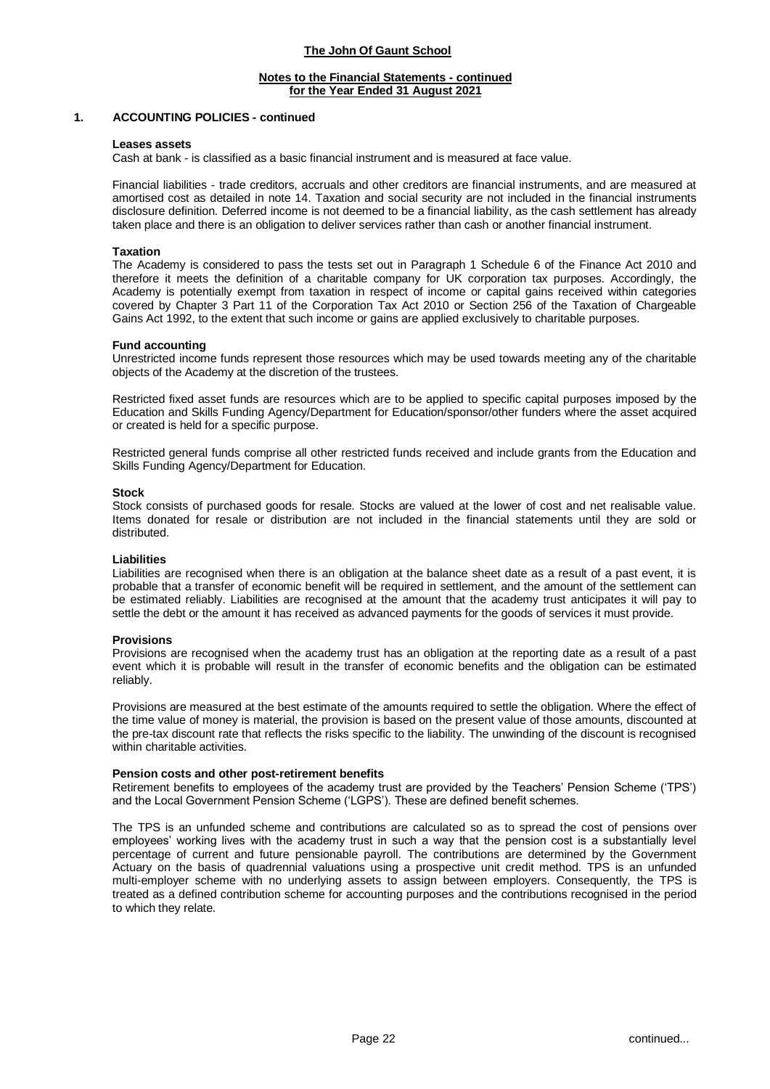#### **Notes to the Financial Statements - continued for the Year Ended 31 August 2021**

### **1. ACCOUNTING POLICIES - continued**

#### **Leases assets**

Cash at bank - is classified as a basic financial instrument and is measured at face value.

Financial liabilities - trade creditors, accruals and other creditors are financial instruments, and are measured at amortised cost as detailed in note 14. Taxation and social security are not included in the financial instruments disclosure definition. Deferred income is not deemed to be a financial liability, as the cash settlement has already taken place and there is an obligation to deliver services rather than cash or another financial instrument.

#### **Taxation**

The Academy is considered to pass the tests set out in Paragraph 1 Schedule 6 of the Finance Act 2010 and therefore it meets the definition of a charitable company for UK corporation tax purposes. Accordingly, the Academy is potentially exempt from taxation in respect of income or capital gains received within categories covered by Chapter 3 Part 11 of the Corporation Tax Act 2010 or Section 256 of the Taxation of Chargeable Gains Act 1992, to the extent that such income or gains are applied exclusively to charitable purposes.

#### **Fund accounting**

Unrestricted income funds represent those resources which may be used towards meeting any of the charitable objects of the Academy at the discretion of the trustees.

Restricted fixed asset funds are resources which are to be applied to specific capital purposes imposed by the Education and Skills Funding Agency/Department for Education/sponsor/other funders where the asset acquired or created is held for a specific purpose.

Restricted general funds comprise all other restricted funds received and include grants from the Education and Skills Funding Agency/Department for Education.

#### **Stock**

Stock consists of purchased goods for resale. Stocks are valued at the lower of cost and net realisable value. Items donated for resale or distribution are not included in the financial statements until they are sold or distributed.

#### **Liabilities**

Liabilities are recognised when there is an obligation at the balance sheet date as a result of a past event, it is probable that a transfer of economic benefit will be required in settlement, and the amount of the settlement can be estimated reliably. Liabilities are recognised at the amount that the academy trust anticipates it will pay to settle the debt or the amount it has received as advanced payments for the goods of services it must provide.

#### **Provisions**

Provisions are recognised when the academy trust has an obligation at the reporting date as a result of a past event which it is probable will result in the transfer of economic benefits and the obligation can be estimated reliably.

Provisions are measured at the best estimate of the amounts required to settle the obligation. Where the effect of the time value of money is material, the provision is based on the present value of those amounts, discounted at the pre-tax discount rate that reflects the risks specific to the liability. The unwinding of the discount is recognised within charitable activities.

#### **Pension costs and other post-retirement benefits**

Retirement benefits to employees of the academy trust are provided by the Teachers' Pension Scheme ('TPS') and the Local Government Pension Scheme ('LGPS'). These are defined benefit schemes.

The TPS is an unfunded scheme and contributions are calculated so as to spread the cost of pensions over employees' working lives with the academy trust in such a way that the pension cost is a substantially level percentage of current and future pensionable payroll. The contributions are determined by the Government Actuary on the basis of quadrennial valuations using a prospective unit credit method. TPS is an unfunded multi-employer scheme with no underlying assets to assign between employers. Consequently, the TPS is treated as a defined contribution scheme for accounting purposes and the contributions recognised in the period to which they relate.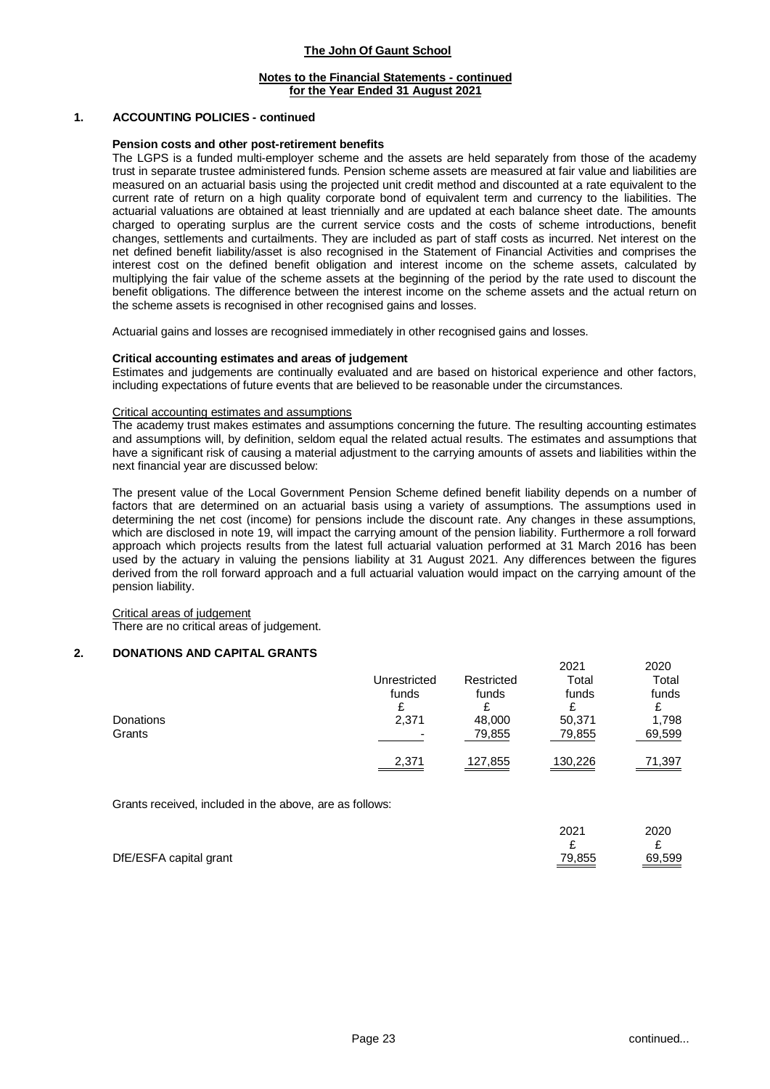### **Notes to the Financial Statements - continued for the Year Ended 31 August 2021**

### **1. ACCOUNTING POLICIES - continued**

#### **Pension costs and other post-retirement benefits**

The LGPS is a funded multi-employer scheme and the assets are held separately from those of the academy trust in separate trustee administered funds. Pension scheme assets are measured at fair value and liabilities are measured on an actuarial basis using the projected unit credit method and discounted at a rate equivalent to the current rate of return on a high quality corporate bond of equivalent term and currency to the liabilities. The actuarial valuations are obtained at least triennially and are updated at each balance sheet date. The amounts charged to operating surplus are the current service costs and the costs of scheme introductions, benefit changes, settlements and curtailments. They are included as part of staff costs as incurred. Net interest on the net defined benefit liability/asset is also recognised in the Statement of Financial Activities and comprises the interest cost on the defined benefit obligation and interest income on the scheme assets, calculated by multiplying the fair value of the scheme assets at the beginning of the period by the rate used to discount the benefit obligations. The difference between the interest income on the scheme assets and the actual return on the scheme assets is recognised in other recognised gains and losses.

Actuarial gains and losses are recognised immediately in other recognised gains and losses.

#### **Critical accounting estimates and areas of judgement**

Estimates and judgements are continually evaluated and are based on historical experience and other factors, including expectations of future events that are believed to be reasonable under the circumstances.

#### Critical accounting estimates and assumptions

The academy trust makes estimates and assumptions concerning the future. The resulting accounting estimates and assumptions will, by definition, seldom equal the related actual results. The estimates and assumptions that have a significant risk of causing a material adjustment to the carrying amounts of assets and liabilities within the next financial year are discussed below:

The present value of the Local Government Pension Scheme defined benefit liability depends on a number of factors that are determined on an actuarial basis using a variety of assumptions. The assumptions used in determining the net cost (income) for pensions include the discount rate. Any changes in these assumptions, which are disclosed in note 19, will impact the carrying amount of the pension liability. Furthermore a roll forward approach which projects results from the latest full actuarial valuation performed at 31 March 2016 has been used by the actuary in valuing the pensions liability at 31 August 2021. Any differences between the figures derived from the roll forward approach and a full actuarial valuation would impact on the carrying amount of the pension liability.

#### Critical areas of judgement There are no critical areas of judgement.

#### **2. DONATIONS AND CAPITAL GRANTS**

|           |                          |            | <b>LULI</b> | 2020   |
|-----------|--------------------------|------------|-------------|--------|
|           | Unrestricted             | Restricted | Total       | Total  |
|           | funds                    | funds      | funds       | funds  |
|           |                          |            |             |        |
| Donations | 2,371                    | 48,000     | 50,371      | 1,798  |
| Grants    | $\overline{\phantom{0}}$ | 79,855     | 79,855      | 69,599 |
|           | 2,371                    | 127,855    | 130,226     | 71,397 |

Grants received, included in the above, are as follows:

|                        | 2021                                        | 2020   |
|------------------------|---------------------------------------------|--------|
|                        |                                             |        |
| DfE/ESFA capital grant | 79,855<br>and the control of the control of | 69,599 |

2021 2020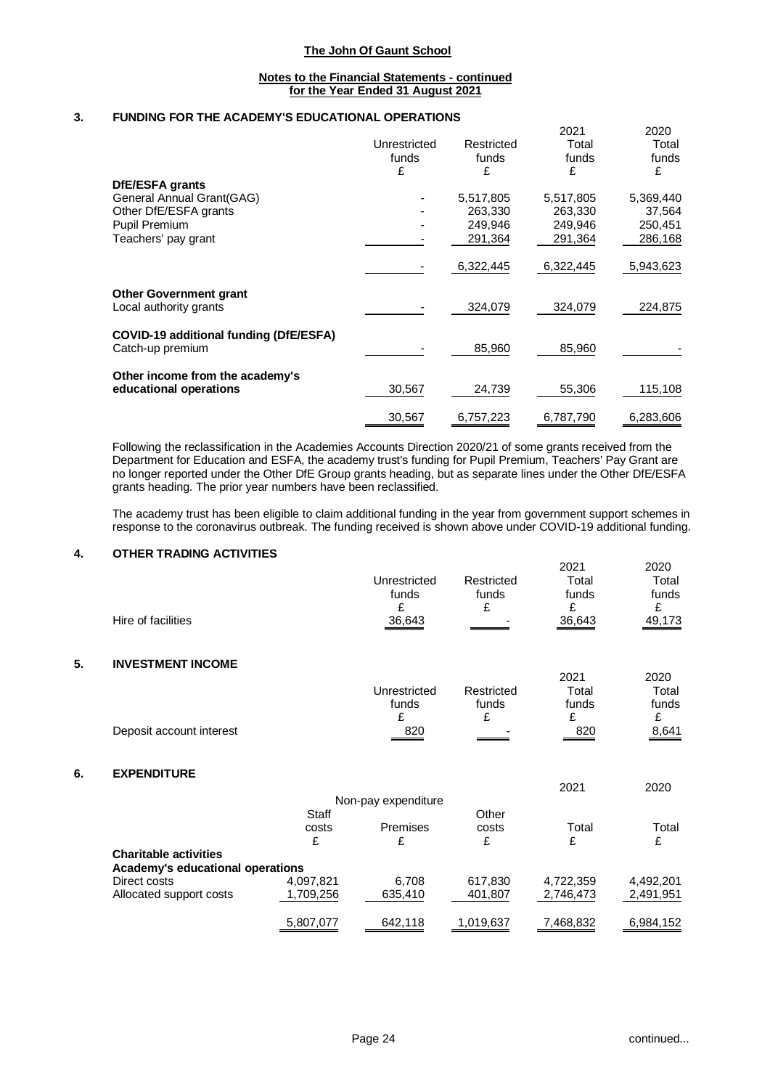#### **Notes to the Financial Statements - continued for the Year Ended 31 August 2021**

### **3. FUNDING FOR THE ACADEMY'S EDUCATIONAL OPERATIONS**

|                                                           |              |            | 2021      | 2020      |
|-----------------------------------------------------------|--------------|------------|-----------|-----------|
|                                                           | Unrestricted | Restricted | Total     | Total     |
|                                                           | funds        | funds      | funds     | funds     |
|                                                           | £            | £          | £         | £         |
| <b>DfE/ESFA grants</b>                                    |              |            |           |           |
| General Annual Grant(GAG)                                 |              | 5,517,805  | 5,517,805 | 5,369,440 |
| Other DfE/ESFA grants                                     |              | 263,330    | 263,330   | 37,564    |
| Pupil Premium                                             |              | 249,946    | 249,946   | 250,451   |
| Teachers' pay grant                                       |              | 291,364    | 291,364   | 286,168   |
|                                                           |              | 6,322,445  | 6,322,445 | 5,943,623 |
| <b>Other Government grant</b>                             |              |            |           |           |
| Local authority grants                                    |              | 324,079    | 324,079   | 224,875   |
| COVID-19 additional funding (DfE/ESFA)                    |              |            |           |           |
| Catch-up premium                                          |              | 85,960     | 85,960    |           |
|                                                           |              |            |           |           |
| Other income from the academy's<br>educational operations | 30,567       | 24,739     | 55,306    | 115,108   |
|                                                           | 30,567       | 6,757,223  | 6,787,790 | 6,283,606 |

Following the reclassification in the Academies Accounts Direction 2020/21 of some grants received from the Department for Education and ESFA, the academy trust's funding for Pupil Premium, Teachers' Pay Grant are no longer reported under the Other DfE Group grants heading, but as separate lines under the Other DfE/ESFA grants heading. The prior year numbers have been reclassified.

The academy trust has been eligible to claim additional funding in the year from government support schemes in response to the coronavirus outbreak. The funding received is shown above under COVID-19 additional funding.

## **4. OTHER TRADING ACTIVITIES**

|    | Hire of facilities               |           | Unrestricted<br>funds<br>£<br>36,643 | Restricted<br>funds<br>£ | 2021<br>Total<br>funds<br>£<br>36,643 | 2020<br>Total<br>funds<br>£<br>49,173 |
|----|----------------------------------|-----------|--------------------------------------|--------------------------|---------------------------------------|---------------------------------------|
| 5. | <b>INVESTMENT INCOME</b>         |           |                                      |                          |                                       |                                       |
|    |                                  |           | Unrestricted<br>funds<br>£           | Restricted<br>funds<br>£ | 2021<br>Total<br>funds<br>£           | 2020<br>Total<br>funds<br>£           |
|    | Deposit account interest         |           | 820                                  |                          | 820                                   | 8,641                                 |
| 6. | <b>EXPENDITURE</b>               |           |                                      |                          |                                       |                                       |
|    |                                  |           | Non-pay expenditure                  |                          | 2021                                  | 2020                                  |
|    |                                  | Staff     |                                      | Other                    |                                       |                                       |
|    |                                  | costs     | Premises                             | costs                    | Total                                 | Total                                 |
|    |                                  | £         | £                                    | £                        | £                                     | £                                     |
|    | <b>Charitable activities</b>     |           |                                      |                          |                                       |                                       |
|    | Academy's educational operations |           |                                      |                          |                                       |                                       |
|    | Direct costs                     | 4,097,821 | 6,708                                | 617,830                  | 4,722,359                             | 4,492,201                             |
|    | Allocated support costs          | 1,709,256 | 635,410                              | 401,807                  | 2,746,473                             | 2,491,951                             |
|    |                                  | 5,807,077 | 642,118                              | 1,019,637                | 7,468,832                             | 6,984,152                             |
|    |                                  |           |                                      |                          |                                       |                                       |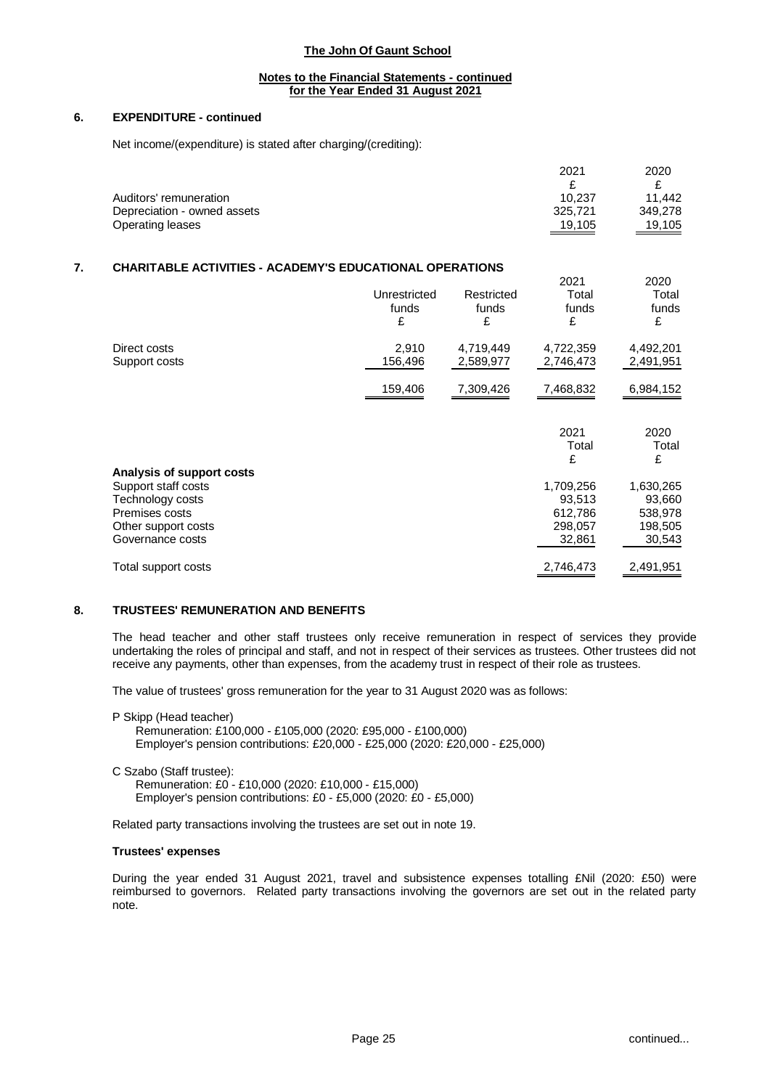### **Notes to the Financial Statements - continued for the Year Ended 31 August 2021**

### **6. EXPENDITURE - continued**

Net income/(expenditure) is stated after charging/(crediting):

|                             | 2021    | 2020    |
|-----------------------------|---------|---------|
|                             |         |         |
| Auditors' remuneration      | 10.237  | 11.442  |
| Depreciation - owned assets | 325.721 | 349.278 |
| Operating leases            | 19,105  | 19,105  |

### **7. CHARITABLE ACTIVITIES - ACADEMY'S EDUCATIONAL OPERATIONS**

|                                                                      | Unrestricted<br>funds<br>£ | Restricted<br>funds<br>£ | 2021<br>Total<br>funds<br>£ | 2020<br>Total<br>funds<br>£ |
|----------------------------------------------------------------------|----------------------------|--------------------------|-----------------------------|-----------------------------|
| Direct costs<br>Support costs                                        | 2,910<br>156,496           | 4,719,449<br>2,589,977   | 4,722,359<br>2,746,473      | 4,492,201<br>2,491,951      |
|                                                                      | 159,406                    | 7,309,426                | 7,468,832                   | 6,984,152                   |
|                                                                      |                            |                          | 2021<br>Total               | 2020<br>Total               |
|                                                                      |                            |                          | £                           | £                           |
| Analysis of support costs<br>Support staff costs<br>Technology costs |                            |                          | 1,709,256<br>93,513         | 1,630,265<br>93,660         |
| Premises costs                                                       |                            |                          | 612,786                     | 538,978                     |
| Other support costs<br>Governance costs                              |                            |                          | 298,057<br>32,861           | 198,505<br>30,543           |
| Total support costs                                                  |                            |                          | 2,746,473                   | 2,491,951                   |

### **8. TRUSTEES' REMUNERATION AND BENEFITS**

The head teacher and other staff trustees only receive remuneration in respect of services they provide undertaking the roles of principal and staff, and not in respect of their services as trustees. Other trustees did not receive any payments, other than expenses, from the academy trust in respect of their role as trustees.

The value of trustees' gross remuneration for the year to 31 August 2020 was as follows:

P Skipp (Head teacher) Remuneration: £100,000 - £105,000 (2020: £95,000 - £100,000) Employer's pension contributions: £20,000 - £25,000 (2020: £20,000 - £25,000)

C Szabo (Staff trustee): Remuneration: £0 - £10,000 (2020: £10,000 - £15,000) Employer's pension contributions: £0 - £5,000 (2020: £0 - £5,000)

Related party transactions involving the trustees are set out in note 19.

#### **Trustees' expenses**

During the year ended 31 August 2021, travel and subsistence expenses totalling £Nil (2020: £50) were reimbursed to governors. Related party transactions involving the governors are set out in the related party note.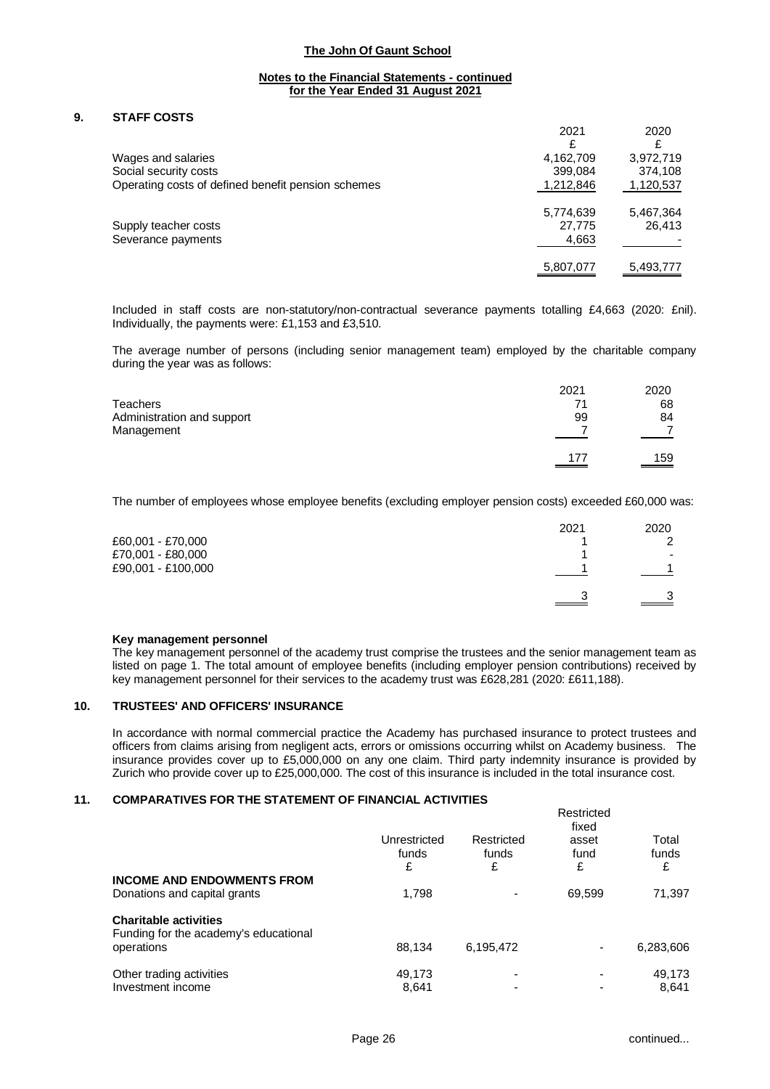### **Notes to the Financial Statements - continued for the Year Ended 31 August 2021**

### **9. STAFF COSTS**

|                                                    | 2021      | 2020      |
|----------------------------------------------------|-----------|-----------|
|                                                    | £         |           |
| Wages and salaries                                 | 4,162,709 | 3,972,719 |
| Social security costs                              | 399,084   | 374,108   |
| Operating costs of defined benefit pension schemes | 1,212,846 | 1,120,537 |
|                                                    | 5,774,639 | 5,467,364 |
| Supply teacher costs                               | 27,775    | 26,413    |
| Severance payments                                 | 4,663     |           |
|                                                    | 5,807,077 | 5,493,777 |

Included in staff costs are non-statutory/non-contractual severance payments totalling £4,663 (2020: £nil). Individually, the payments were: £1,153 and £3,510.

The average number of persons (including senior management team) employed by the charitable company during the year was as follows:

| <b>Teachers</b>            | 2021 | 2020                        |
|----------------------------|------|-----------------------------|
| Administration and support | 71   | 68                          |
| Management                 | 99   | 84                          |
|                            | 177  | $\underline{\frac{159}{2}}$ |

The number of employees whose employee benefits (excluding employer pension costs) exceeded £60,000 was:

|                    | 2021 | 2020 |
|--------------------|------|------|
| £60,001 - £70,000  |      | ົ    |
| £70,001 - £80,000  |      | ۰    |
| £90,001 - £100,000 |      | 4    |
|                    | っ    | 3    |

#### **Key management personnel**

The key management personnel of the academy trust comprise the trustees and the senior management team as listed on page 1. The total amount of employee benefits (including employer pension contributions) received by key management personnel for their services to the academy trust was £628,281 (2020: £611,188).

### **10. TRUSTEES' AND OFFICERS' INSURANCE**

In accordance with normal commercial practice the Academy has purchased insurance to protect trustees and officers from claims arising from negligent acts, errors or omissions occurring whilst on Academy business. The insurance provides cover up to £5,000,000 on any one claim. Third party indemnity insurance is provided by Zurich who provide cover up to £25,000,000. The cost of this insurance is included in the total insurance cost.

## **11. COMPARATIVES FOR THE STATEMENT OF FINANCIAL ACTIVITIES**

| Total<br>asset<br>funds |
|-------------------------|
| £                       |
| 71,397<br>69,599        |
|                         |
| 6,283,606<br>-          |
| 49,173<br>۰             |
| 8.641                   |
| fund                    |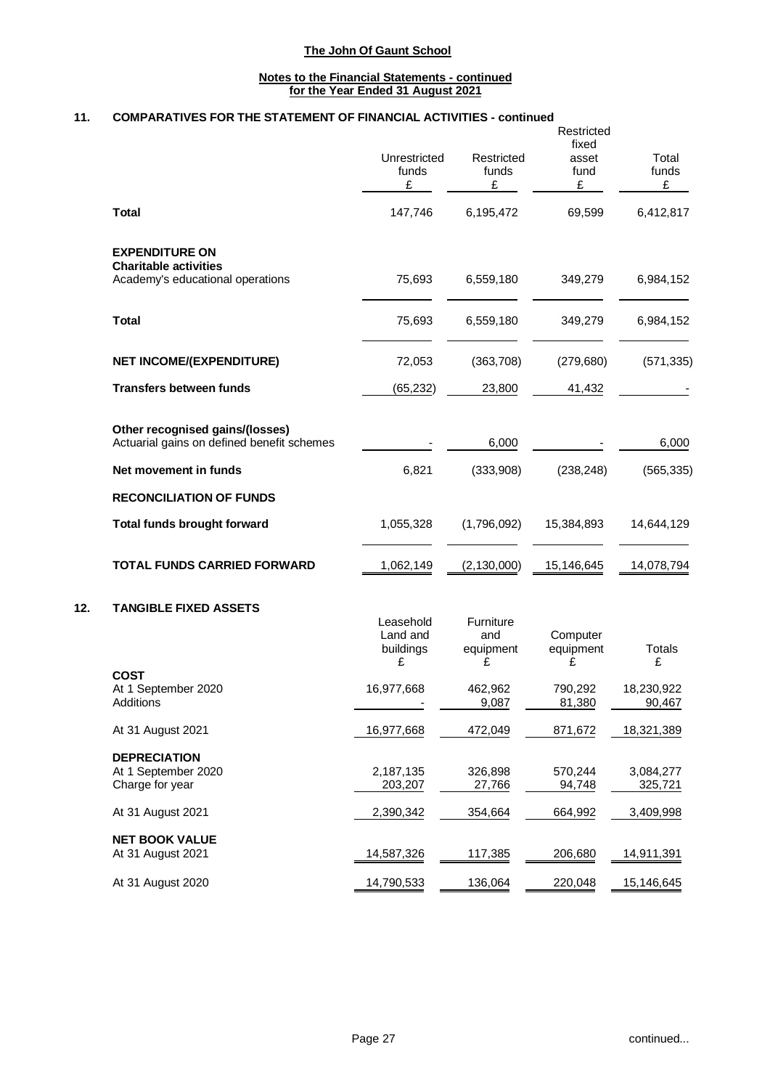### **Notes to the Financial Statements - continued for the Year Ended 31 August 2021**

# **11. COMPARATIVES FOR THE STATEMENT OF FINANCIAL ACTIVITIES - continued**

|                                                                                           | Unrestricted<br>funds<br>£              | Restricted<br>funds<br>£           | Restricted<br>fixed<br>asset<br>fund<br>£ | Total<br>funds<br>£  |
|-------------------------------------------------------------------------------------------|-----------------------------------------|------------------------------------|-------------------------------------------|----------------------|
| <b>Total</b>                                                                              | 147,746                                 | 6,195,472                          | 69,599                                    | 6,412,817            |
| <b>EXPENDITURE ON</b><br><b>Charitable activities</b><br>Academy's educational operations | 75,693                                  | 6,559,180                          | 349,279                                   | 6,984,152            |
| <b>Total</b>                                                                              | 75,693                                  | 6,559,180                          | 349,279                                   | 6,984,152            |
| <b>NET INCOME/(EXPENDITURE)</b>                                                           | 72,053                                  | (363, 708)                         | (279, 680)                                | (571, 335)           |
| <b>Transfers between funds</b>                                                            | (65, 232)                               | 23,800                             | 41,432                                    |                      |
| Other recognised gains/(losses)<br>Actuarial gains on defined benefit schemes             |                                         | 6,000                              |                                           | 6,000                |
| Net movement in funds                                                                     | 6,821                                   | (333,908)                          | (238, 248)                                | (565, 335)           |
| <b>RECONCILIATION OF FUNDS</b>                                                            |                                         |                                    |                                           |                      |
| <b>Total funds brought forward</b>                                                        | 1,055,328                               | (1,796,092)                        | 15,384,893                                | 14,644,129           |
| <b>TOTAL FUNDS CARRIED FORWARD</b>                                                        | 1,062,149                               | (2, 130, 000)                      | 15,146,645                                | 14,078,794           |
| <b>TANGIBLE FIXED ASSETS</b>                                                              | Leasehold<br>Land and<br>buildings<br>£ | Furniture<br>and<br>equipment<br>£ | Computer<br>equipment<br>£                | Totals<br>£          |
| COST<br>At 1 September 2020<br>Additions                                                  | 16,977,668                              | 462,962<br>9,087                   | 790,292<br>81,380                         | 18,230,922<br>90,467 |
| At 31 August 2021                                                                         | 16,977,668                              | 472,049                            | 871,672                                   | 18,321,389           |
| <b>DEPRECIATION</b><br>At 1 September 2020<br>Charge for year                             | 2,187,135<br>203,207                    | 326,898<br>27,766                  | 570,244<br>94,748                         | 3,084,277<br>325,721 |
| At 31 August 2021                                                                         | 2,390,342                               | 354,664                            | 664,992                                   | 3,409,998            |
| <b>NET BOOK VALUE</b><br>At 31 August 2021                                                | 14,587,326                              | 117,385                            | 206,680                                   | 14,911,391           |
| At 31 August 2020                                                                         | 14,790,533                              | 136,064                            | 220,048                                   | 15,146,645           |

**12.**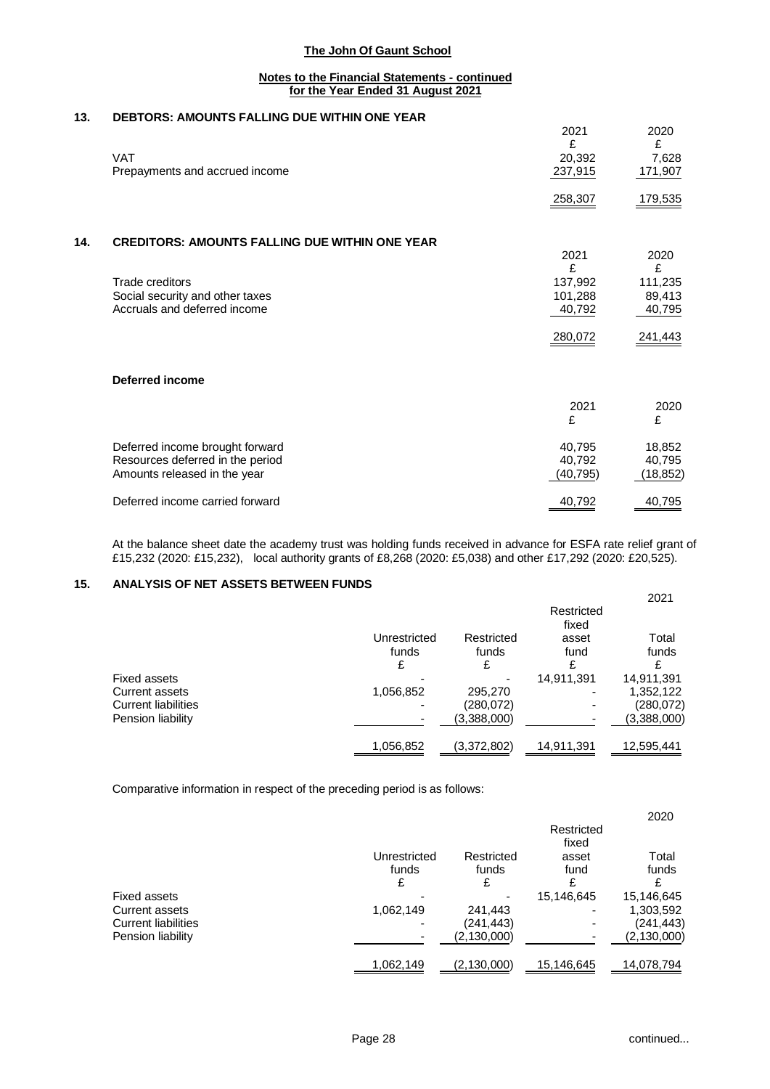### **Notes to the Financial Statements - continued for the Year Ended 31 August 2021**

## **13. DEBTORS: AMOUNTS FALLING DUE WITHIN ONE YEAR**

|     | <b>VAT</b><br>Prepayments and accrued income          | 2021<br>£<br>20,392<br>237,915 | 2020<br>£<br>7,628<br>171,907 |
|-----|-------------------------------------------------------|--------------------------------|-------------------------------|
|     |                                                       | 258,307                        | 179,535                       |
| 14. | <b>CREDITORS: AMOUNTS FALLING DUE WITHIN ONE YEAR</b> |                                |                               |
|     |                                                       | 2021<br>£                      | 2020<br>£                     |
|     | Trade creditors                                       | 137,992                        | 111,235                       |
|     | Social security and other taxes                       | 101,288                        | 89,413                        |
|     | Accruals and deferred income                          | 40,792                         | 40,795                        |
|     |                                                       | 280,072                        | 241,443                       |
|     | <b>Deferred income</b>                                |                                |                               |
|     |                                                       | 2021                           | 2020                          |
|     |                                                       | £                              | £                             |
|     | Deferred income brought forward                       | 40,795                         | 18,852                        |
|     | Resources deferred in the period                      | 40,792                         | 40,795                        |
|     | Amounts released in the year                          | (40, 795)                      | (18, 852)                     |
|     | Deferred income carried forward                       | 40,792                         | 40,795                        |
|     |                                                       |                                |                               |

At the balance sheet date the academy trust was holding funds received in advance for ESFA rate relief grant of £15,232 (2020: £15,232), local authority grants of £8,268 (2020: £5,038) and other £17,292 (2020: £20,525).

### **15. ANALYSIS OF NET ASSETS BETWEEN FUNDS**

|                            |                       |                     |                     | 2021           |
|----------------------------|-----------------------|---------------------|---------------------|----------------|
|                            |                       |                     | Restricted<br>fixed |                |
|                            | Unrestricted<br>funds | Restricted<br>funds | asset<br>fund       | Total<br>funds |
|                            | £                     | £                   | £                   |                |
| Fixed assets               |                       |                     | 14,911,391          | 14,911,391     |
| Current assets             | 1,056,852             | 295,270             |                     | 1,352,122      |
| <b>Current liabilities</b> |                       | (280,072)           |                     | (280, 072)     |
| Pension liability          |                       | (3,388,000)         |                     | (3,388,000)    |
|                            | 1,056,852             | (3,372,802)         | 14,911,391          | 12,595,441     |

Comparative information in respect of the preceding period is as follows:

|                                |                          |                     | Restricted<br>fixed | 2020                    |
|--------------------------------|--------------------------|---------------------|---------------------|-------------------------|
|                                | Unrestricted<br>funds    | Restricted<br>funds | asset<br>fund       | Total<br>funds          |
|                                | £                        |                     | £                   |                         |
| Fixed assets<br>Current assets | 1,062,149                | 241,443             | 15,146,645          | 15,146,645<br>1,303,592 |
| <b>Current liabilities</b>     | $\overline{\phantom{0}}$ | (241,443)           |                     | (241,443)               |
| Pension liability              |                          | (2, 130, 000)       |                     | (2,130,000)             |
|                                | 1,062,149                | (2, 130, 000)       | 15,146,645          | 14,078,794              |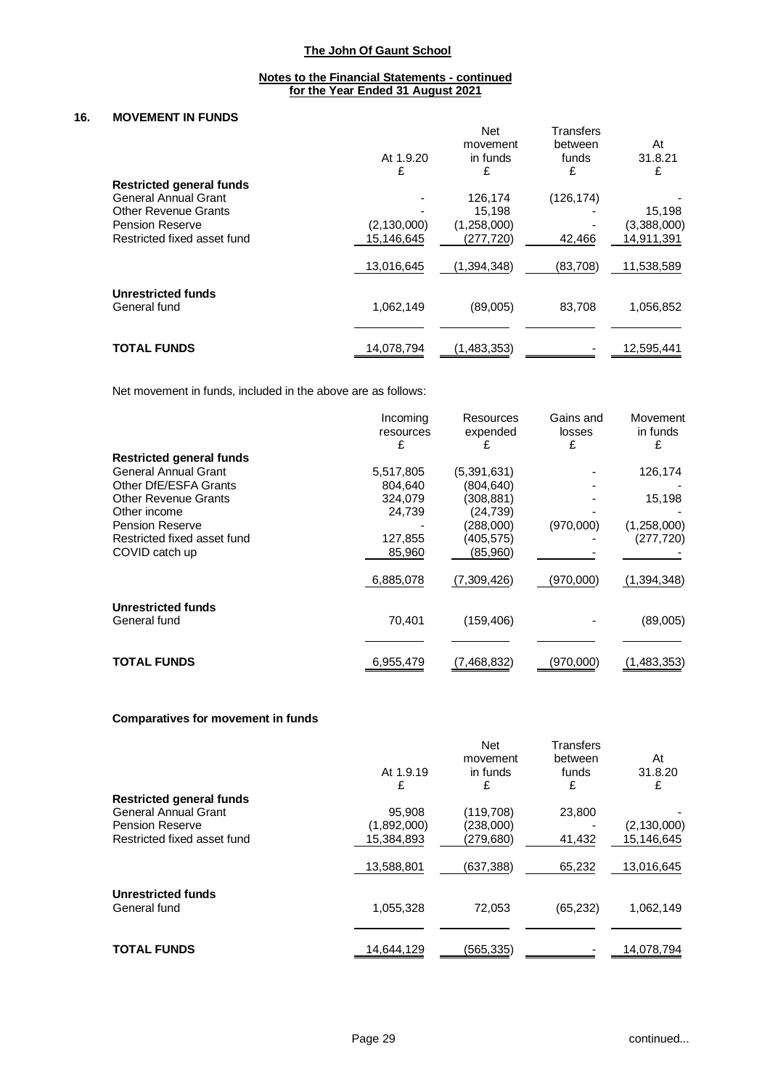#### **Notes to the Financial Statements - continued for the Year Ended 31 August 2021**

### **16. MOVEMENT IN FUNDS**

|                                 |               | <b>Net</b><br>movement | Transfers<br>between | At          |
|---------------------------------|---------------|------------------------|----------------------|-------------|
|                                 | At 1.9.20     | in funds               | funds                | 31.8.21     |
|                                 | £             | £                      | £                    | £           |
| <b>Restricted general funds</b> |               |                        |                      |             |
| General Annual Grant            |               | 126.174                | (126, 174)           |             |
| <b>Other Revenue Grants</b>     |               | 15,198                 |                      | 15,198      |
| <b>Pension Reserve</b>          | (2, 130, 000) | (1,258,000)            |                      | (3,388,000) |
| Restricted fixed asset fund     | 15.146.645    | (277,720)              | 42,466               | 14.911.391  |
|                                 | 13,016,645    | (1,394,348)            | (83,708)             | 11,538,589  |
| Unrestricted funds              |               |                        |                      |             |
| General fund                    | 1,062,149     | (89,005)               | 83,708               | 1,056,852   |
|                                 |               |                        |                      |             |
| <b>TOTAL FUNDS</b>              | 14,078,794    | (1,483,353)            |                      | 12,595,441  |

Net movement in funds, included in the above are as follows:

|                                 | Incoming  | Resources   | Gains and | Movement    |
|---------------------------------|-----------|-------------|-----------|-------------|
|                                 | resources | expended    | losses    | in funds    |
|                                 | £         |             | £         |             |
| <b>Restricted general funds</b> |           |             |           |             |
| <b>General Annual Grant</b>     | 5,517,805 | (5,391,631) |           | 126,174     |
| Other DfE/ESFA Grants           | 804,640   | (804, 640)  |           |             |
| <b>Other Revenue Grants</b>     | 324,079   | (308, 881)  |           | 15,198      |
| Other income                    | 24,739    | (24, 739)   |           |             |
| <b>Pension Reserve</b>          |           | (288,000)   | (970,000) | (1,258,000) |
| Restricted fixed asset fund     | 127,855   | (405, 575)  |           | (277, 720)  |
| COVID catch up                  | 85,960    | (85,960)    |           |             |
|                                 | 6,885,078 | (7,309,426) | (970,000) | (1,394,348) |
| Unrestricted funds              |           |             |           |             |
| General fund                    | 70,401    | (159, 406)  |           | (89,005)    |
|                                 |           |             |           |             |
| <b>TOTAL FUNDS</b>              | 6,955,479 | (7,468,832) | (970,000) | (1,483,353) |

#### **Comparatives for movement in funds**

|                                 |             | <b>Net</b> | <b>Transfers</b> |               |
|---------------------------------|-------------|------------|------------------|---------------|
|                                 |             | movement   | between          | At            |
|                                 | At 1.9.19   | in funds   | funds            | 31.8.20       |
|                                 | £           | £          | £                | £             |
| <b>Restricted general funds</b> |             |            |                  |               |
| General Annual Grant            | 95,908      | (119,708)  | 23,800           |               |
| <b>Pension Reserve</b>          | (1,892,000) | (238,000)  |                  | (2, 130, 000) |
| Restricted fixed asset fund     | 15.384.893  | (279,680)  | 41,432           | 15.146.645    |
|                                 | 13,588,801  | (637,388)  | 65.232           | 13,016,645    |
| <b>Unrestricted funds</b>       |             |            |                  |               |
| General fund                    | 1,055,328   | 72,053     | (65, 232)        | 1,062,149     |
|                                 |             |            |                  |               |
| <b>TOTAL FUNDS</b>              | 14,644,129  | (565,335)  |                  | 14,078,794    |
|                                 |             |            |                  |               |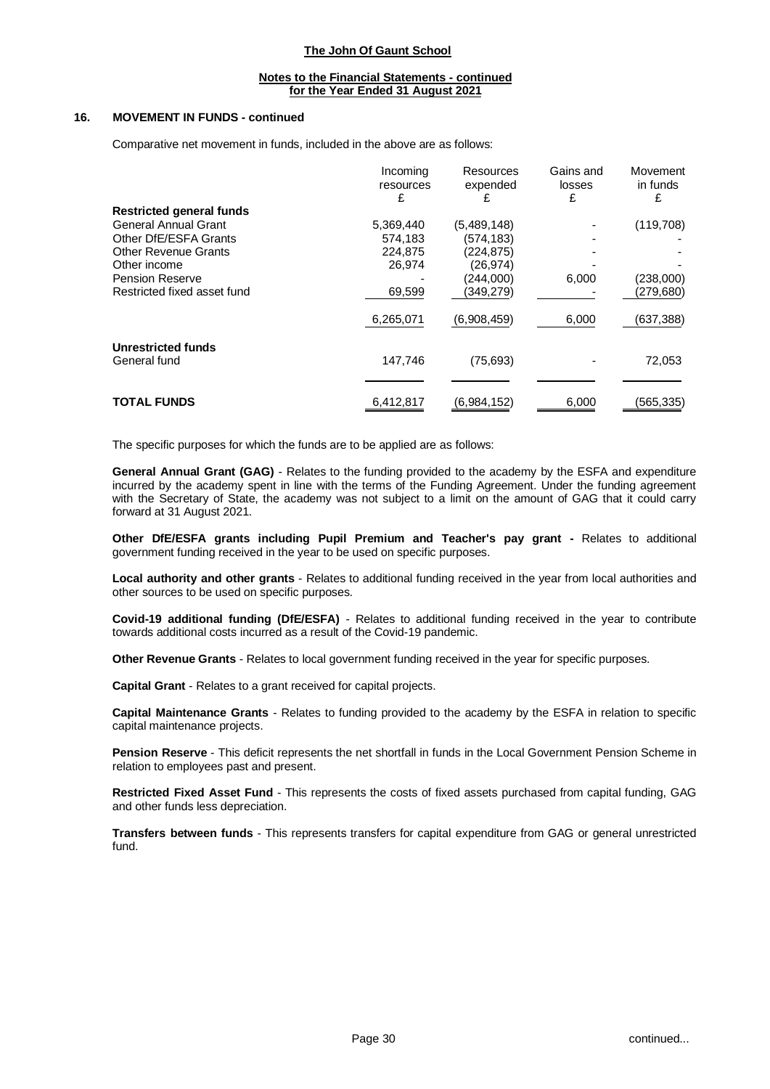#### **Notes to the Financial Statements - continued for the Year Ended 31 August 2021**

### **16. MOVEMENT IN FUNDS - continued**

Comparative net movement in funds, included in the above are as follows:

|                                 | Incoming<br>resources<br>£ | Resources<br>expended<br>£ | Gains and<br>losses<br>£ | Movement<br>in funds<br>£ |
|---------------------------------|----------------------------|----------------------------|--------------------------|---------------------------|
| <b>Restricted general funds</b> |                            |                            |                          |                           |
| General Annual Grant            | 5,369,440                  | (5,489,148)                |                          | (119,708)                 |
| Other DfE/ESFA Grants           | 574,183                    | (574, 183)                 |                          |                           |
| <b>Other Revenue Grants</b>     | 224,875                    | (224, 875)                 |                          |                           |
| Other income                    | 26,974                     | (26,974)                   |                          |                           |
| <b>Pension Reserve</b>          |                            | (244,000)                  | 6,000                    | (238,000)                 |
| Restricted fixed asset fund     | 69,599                     | (349,279)                  |                          | (279,680)                 |
|                                 | 6,265,071                  | (6,908,459)                | 6,000                    | (637,388)                 |
| <b>Unrestricted funds</b>       |                            |                            |                          |                           |
| General fund                    | 147,746                    | (75, 693)                  |                          | 72,053                    |
|                                 |                            |                            |                          |                           |
| <b>TOTAL FUNDS</b>              | 6,412,817                  | (6,984,152)                | 6,000                    | (565,335)                 |

The specific purposes for which the funds are to be applied are as follows:

**General Annual Grant (GAG)** - Relates to the funding provided to the academy by the ESFA and expenditure incurred by the academy spent in line with the terms of the Funding Agreement. Under the funding agreement with the Secretary of State, the academy was not subject to a limit on the amount of GAG that it could carry forward at 31 August 2021.

**Other DfE/ESFA grants including Pupil Premium and Teacher's pay grant -** Relates to additional government funding received in the year to be used on specific purposes.

**Local authority and other grants** - Relates to additional funding received in the year from local authorities and other sources to be used on specific purposes.

**Covid-19 additional funding (DfE/ESFA)** - Relates to additional funding received in the year to contribute towards additional costs incurred as a result of the Covid-19 pandemic.

**Other Revenue Grants** - Relates to local government funding received in the year for specific purposes.

**Capital Grant** - Relates to a grant received for capital projects.

**Capital Maintenance Grants** - Relates to funding provided to the academy by the ESFA in relation to specific capital maintenance projects.

**Pension Reserve** - This deficit represents the net shortfall in funds in the Local Government Pension Scheme in relation to employees past and present.

**Restricted Fixed Asset Fund** - This represents the costs of fixed assets purchased from capital funding, GAG and other funds less depreciation.

**Transfers between funds** - This represents transfers for capital expenditure from GAG or general unrestricted fund.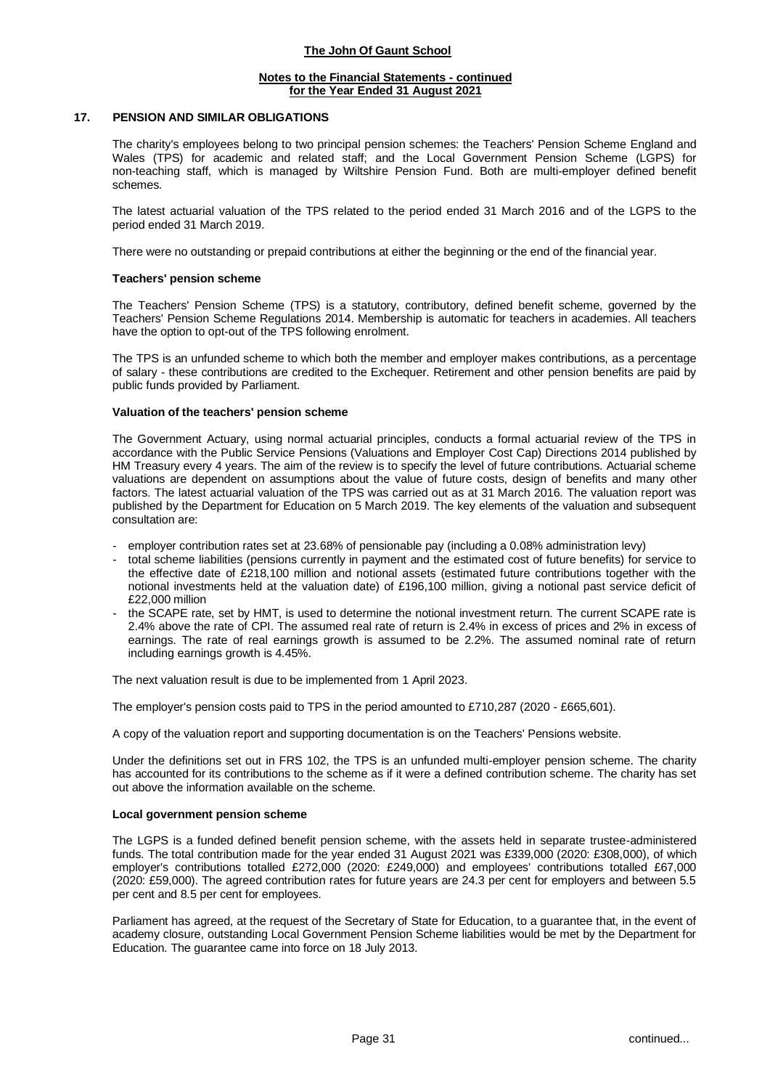### **Notes to the Financial Statements - continued for the Year Ended 31 August 2021**

#### **17. PENSION AND SIMILAR OBLIGATIONS**

The charity's employees belong to two principal pension schemes: the Teachers' Pension Scheme England and Wales (TPS) for academic and related staff; and the Local Government Pension Scheme (LGPS) for non-teaching staff, which is managed by Wiltshire Pension Fund. Both are multi-employer defined benefit schemes.

The latest actuarial valuation of the TPS related to the period ended 31 March 2016 and of the LGPS to the period ended 31 March 2019.

There were no outstanding or prepaid contributions at either the beginning or the end of the financial year.

### **Teachers' pension scheme**

The Teachers' Pension Scheme (TPS) is a statutory, contributory, defined benefit scheme, governed by the Teachers' Pension Scheme Regulations 2014. Membership is automatic for teachers in academies. All teachers have the option to opt-out of the TPS following enrolment.

The TPS is an unfunded scheme to which both the member and employer makes contributions, as a percentage of salary - these contributions are credited to the Exchequer. Retirement and other pension benefits are paid by public funds provided by Parliament.

### **Valuation of the teachers' pension scheme**

The Government Actuary, using normal actuarial principles, conducts a formal actuarial review of the TPS in accordance with the Public Service Pensions (Valuations and Employer Cost Cap) Directions 2014 published by HM Treasury every 4 years. The aim of the review is to specify the level of future contributions. Actuarial scheme valuations are dependent on assumptions about the value of future costs, design of benefits and many other factors. The latest actuarial valuation of the TPS was carried out as at 31 March 2016. The valuation report was published by the Department for Education on 5 March 2019. The key elements of the valuation and subsequent consultation are:

- employer contribution rates set at 23.68% of pensionable pay (including a 0.08% administration levy)
- total scheme liabilities (pensions currently in payment and the estimated cost of future benefits) for service to the effective date of £218,100 million and notional assets (estimated future contributions together with the notional investments held at the valuation date) of £196,100 million, giving a notional past service deficit of £22,000 million
- the SCAPE rate, set by HMT, is used to determine the notional investment return. The current SCAPE rate is 2.4% above the rate of CPI. The assumed real rate of return is 2.4% in excess of prices and 2% in excess of earnings. The rate of real earnings growth is assumed to be 2.2%. The assumed nominal rate of return including earnings growth is 4.45%.

The next valuation result is due to be implemented from 1 April 2023.

The employer's pension costs paid to TPS in the period amounted to £710,287 (2020 - £665,601).

A copy of the valuation report and supporting documentation is on the Teachers' Pensions website.

Under the definitions set out in FRS 102, the TPS is an unfunded multi-employer pension scheme. The charity has accounted for its contributions to the scheme as if it were a defined contribution scheme. The charity has set out above the information available on the scheme.

#### **Local government pension scheme**

The LGPS is a funded defined benefit pension scheme, with the assets held in separate trustee-administered funds. The total contribution made for the year ended 31 August 2021 was £339,000 (2020: £308,000), of which employer's contributions totalled £272,000 (2020: £249,000) and employees' contributions totalled £67,000 (2020: £59,000). The agreed contribution rates for future years are 24.3 per cent for employers and between 5.5 per cent and 8.5 per cent for employees.

Parliament has agreed, at the request of the Secretary of State for Education, to a guarantee that, in the event of academy closure, outstanding Local Government Pension Scheme liabilities would be met by the Department for Education. The guarantee came into force on 18 July 2013.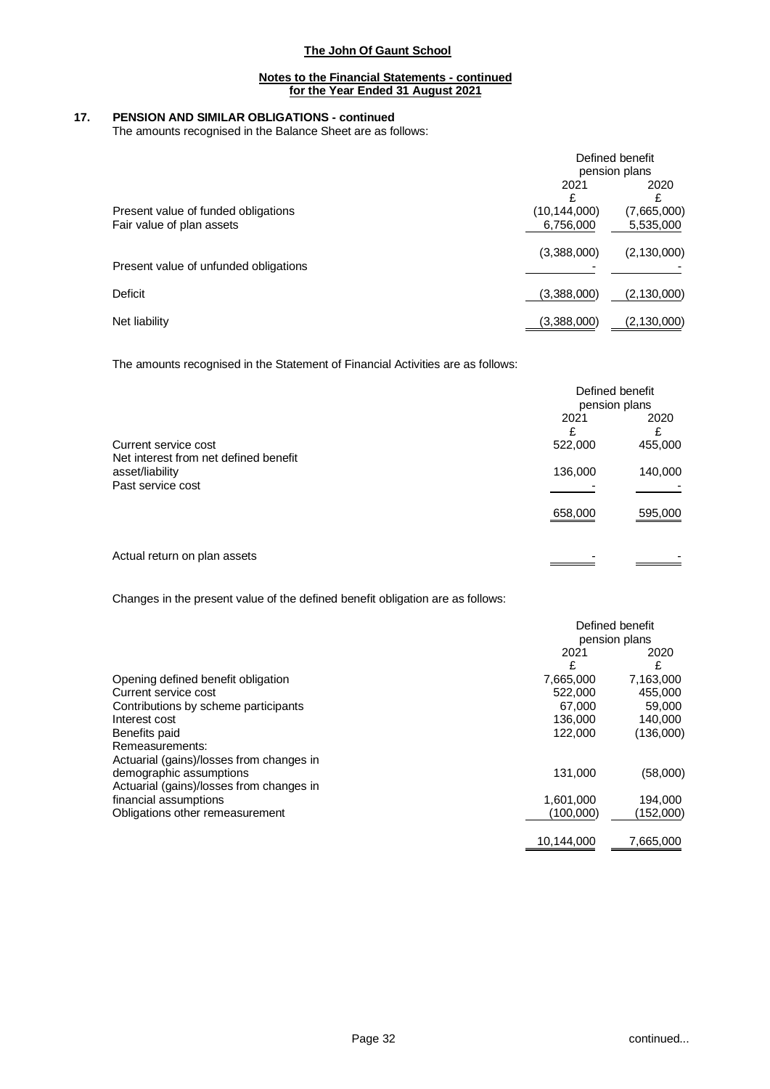### **Notes to the Financial Statements - continued for the Year Ended 31 August 2021**

## **17. PENSION AND SIMILAR OBLIGATIONS - continued**

The amounts recognised in the Balance Sheet are as follows:

|                                                                  | Defined benefit<br>pension plans |                          |
|------------------------------------------------------------------|----------------------------------|--------------------------|
|                                                                  | 2021                             | 2020                     |
| Present value of funded obligations<br>Fair value of plan assets | (10, 144, 000)<br>6,756,000      | (7,665,000)<br>5,535,000 |
| Present value of unfunded obligations                            | (3,388,000)                      | (2, 130, 000)            |
| Deficit                                                          | (3,388,000)                      | (2, 130, 000)            |
| Net liability                                                    | (3,388,000)                      | (2,130,000)              |

The amounts recognised in the Statement of Financial Activities are as follows:

|                                                                               | Defined benefit<br>pension plans |                    |
|-------------------------------------------------------------------------------|----------------------------------|--------------------|
| Current service cost                                                          | 2021                             | 2020               |
| Net interest from net defined benefit<br>asset/liability<br>Past service cost | 522,000<br>136,000               | 455,000<br>140,000 |
|                                                                               | 658,000                          | 595,000            |
| Actual return on plan assets                                                  |                                  |                    |

Changes in the present value of the defined benefit obligation are as follows:

|                                          |               | Defined benefit |
|------------------------------------------|---------------|-----------------|
|                                          | pension plans |                 |
|                                          | 2021          | 2020            |
|                                          | £             | £               |
| Opening defined benefit obligation       | 7,665,000     | 7,163,000       |
| Current service cost                     | 522,000       | 455,000         |
| Contributions by scheme participants     | 67.000        | 59,000          |
| Interest cost                            | 136,000       | 140,000         |
| Benefits paid                            | 122,000       | (136,000)       |
| Remeasurements:                          |               |                 |
| Actuarial (gains)/losses from changes in |               |                 |
| demographic assumptions                  | 131,000       | (58,000)        |
| Actuarial (gains)/losses from changes in |               |                 |
| financial assumptions                    | 1,601,000     | 194,000         |
| Obligations other remeasurement          | (100,000)     | (152,000)       |
|                                          | 10,144,000    | 7,665,000       |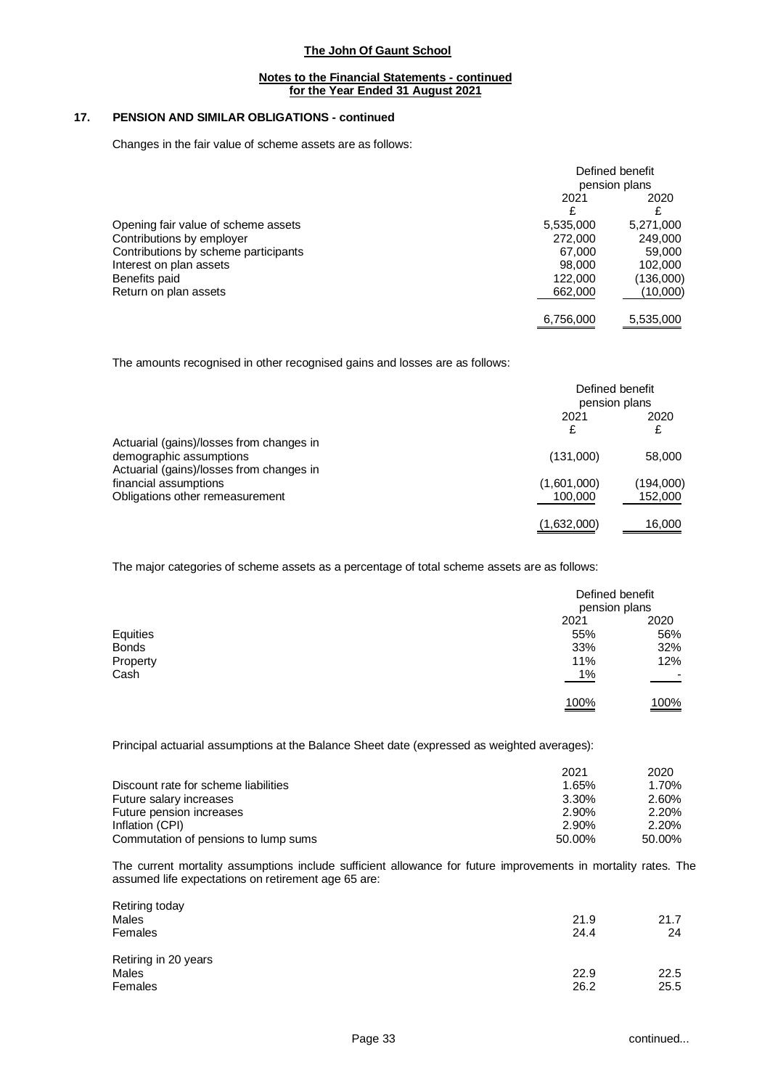### **Notes to the Financial Statements - continued for the Year Ended 31 August 2021**

## **17. PENSION AND SIMILAR OBLIGATIONS - continued**

Changes in the fair value of scheme assets are as follows:

|                                      | Defined benefit<br>pension plans |           |
|--------------------------------------|----------------------------------|-----------|
|                                      | 2021<br>£                        | 2020      |
| Opening fair value of scheme assets  | 5,535,000                        | 5,271,000 |
| Contributions by employer            | 272,000                          | 249,000   |
| Contributions by scheme participants | 67.000                           | 59,000    |
| Interest on plan assets              | 98,000                           | 102,000   |
| Benefits paid                        | 122,000                          | (136,000) |
| Return on plan assets                | 662,000                          | (10,000)  |
|                                      | 6,756,000                        | 5,535,000 |

The amounts recognised in other recognised gains and losses are as follows:

|                                                                                                                 | Defined benefit<br>pension plans |                      |
|-----------------------------------------------------------------------------------------------------------------|----------------------------------|----------------------|
|                                                                                                                 | 2021<br>£                        | 2020                 |
| Actuarial (gains)/losses from changes in<br>demographic assumptions<br>Actuarial (gains)/losses from changes in | (131,000)                        | 58,000               |
| financial assumptions<br>Obligations other remeasurement                                                        | (1,601,000)<br>100,000           | (194,000)<br>152,000 |
|                                                                                                                 | (1,632,000)                      | 16,000               |

The major categories of scheme assets as a percentage of total scheme assets are as follows:

|              | Defined benefit<br>pension plans |      |
|--------------|----------------------------------|------|
|              | 2021                             | 2020 |
| Equities     | 55%                              | 56%  |
| <b>Bonds</b> | 33%                              | 32%  |
| Property     | 11%                              | 12%  |
| Cash         | $1\%$                            | ٠    |
|              | 100%<br>_______                  | 100% |

Principal actuarial assumptions at the Balance Sheet date (expressed as weighted averages):

|                                      | 2021   | 2020   |
|--------------------------------------|--------|--------|
| Discount rate for scheme liabilities | 1.65%  | 1.70%  |
| Future salary increases              | 3.30%  | 2.60%  |
| Future pension increases             | 2.90%  | 2.20%  |
| Inflation (CPI)                      | 2.90%  | 2.20%  |
| Commutation of pensions to lump sums | 50.00% | 50.00% |

The current mortality assumptions include sufficient allowance for future improvements in mortality rates. The assumed life expectations on retirement age 65 are:

| 21.9 | 21.7 |
|------|------|
| 24.4 | 24   |
|      |      |
| 22.9 | 22.5 |
| 26.2 | 25.5 |
|      |      |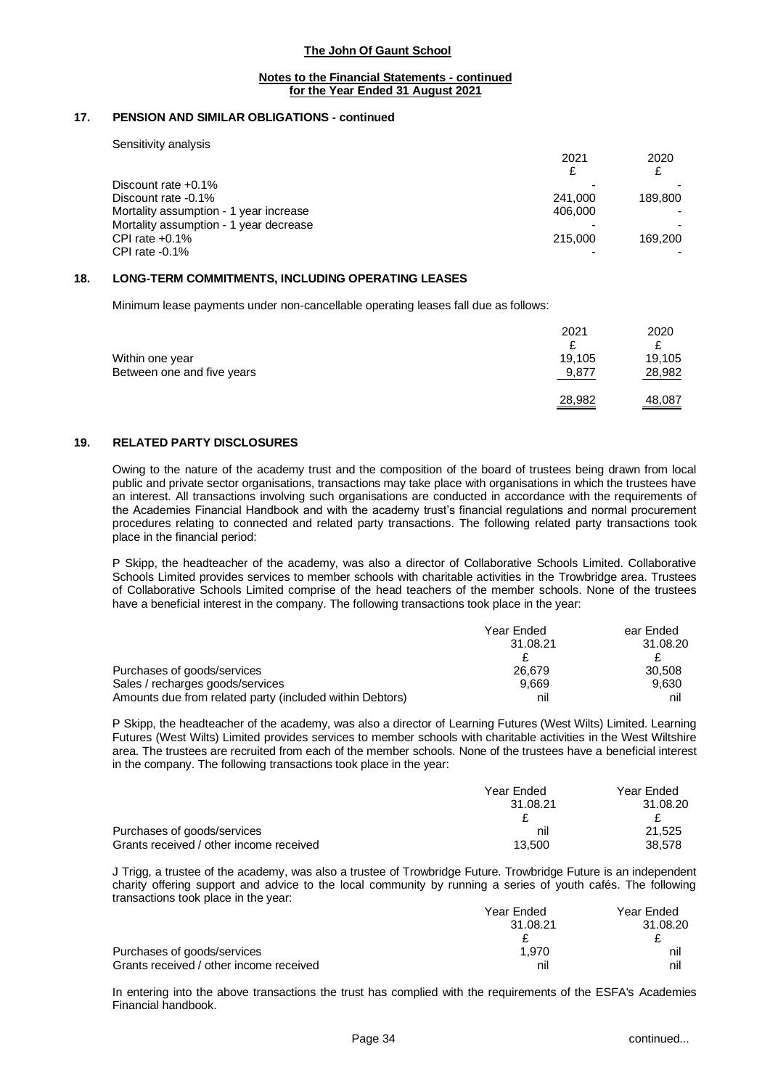### **Notes to the Financial Statements - continued for the Year Ended 31 August 2021**

### **17. PENSION AND SIMILAR OBLIGATIONS - continued**

Sensitivity analysis

|                                        | 2021    | 2020    |
|----------------------------------------|---------|---------|
|                                        | £       |         |
| Discount rate $+0.1\%$                 |         |         |
| Discount rate -0.1%                    | 241.000 | 189.800 |
| Mortality assumption - 1 year increase | 406.000 |         |
| Mortality assumption - 1 year decrease |         |         |
| CPI rate $+0.1\%$                      | 215,000 | 169.200 |
| CPI rate $-0.1\%$                      |         |         |

### **18. LONG-TERM COMMITMENTS, INCLUDING OPERATING LEASES**

Minimum lease payments under non-cancellable operating leases fall due as follows:

|                                               | 2021            | 2020             |
|-----------------------------------------------|-----------------|------------------|
| Within one year<br>Between one and five years | 19,105<br>9,877 | 19,105<br>28,982 |
|                                               | 28,982          | 48,087           |

### **19. RELATED PARTY DISCLOSURES**

Owing to the nature of the academy trust and the composition of the board of trustees being drawn from local public and private sector organisations, transactions may take place with organisations in which the trustees have an interest. All transactions involving such organisations are conducted in accordance with the requirements of the Academies Financial Handbook and with the academy trust's financial regulations and normal procurement procedures relating to connected and related party transactions. The following related party transactions took place in the financial period:

P Skipp, the headteacher of the academy, was also a director of Collaborative Schools Limited. Collaborative Schools Limited provides services to member schools with charitable activities in the Trowbridge area. Trustees of Collaborative Schools Limited comprise of the head teachers of the member schools. None of the trustees have a beneficial interest in the company. The following transactions took place in the year:

|                                                          | Year Ended | ear Ended |
|----------------------------------------------------------|------------|-----------|
|                                                          | 31.08.21   | 31.08.20  |
|                                                          |            |           |
| Purchases of goods/services                              | 26.679     | 30.508    |
| Sales / recharges goods/services                         | 9.669      | 9.630     |
| Amounts due from related party (included within Debtors) | nil        | nil       |

P Skipp, the headteacher of the academy, was also a director of Learning Futures (West Wilts) Limited. Learning Futures (West Wilts) Limited provides services to member schools with charitable activities in the West Wiltshire area. The trustees are recruited from each of the member schools. None of the trustees have a beneficial interest in the company. The following transactions took place in the year:

|                                         | Year Ended | Year Ended |
|-----------------------------------------|------------|------------|
|                                         | 31.08.21   | 31.08.20   |
|                                         |            |            |
| Purchases of goods/services             | nil        | 21.525     |
| Grants received / other income received | 13.500     | 38.578     |

J Trigg, a trustee of the academy, was also a trustee of Trowbridge Future. Trowbridge Future is an independent charity offering support and advice to the local community by running a series of youth cafés. The following transactions took place in the year:

|                                         | Year Ended | Year Ended |
|-----------------------------------------|------------|------------|
|                                         | 31.08.21   | 31.08.20   |
|                                         |            |            |
| Purchases of goods/services             | 1.970      | nı         |
| Grants received / other income received | nil        | nıl        |

In entering into the above transactions the trust has complied with the requirements of the ESFA's Academies Financial handbook.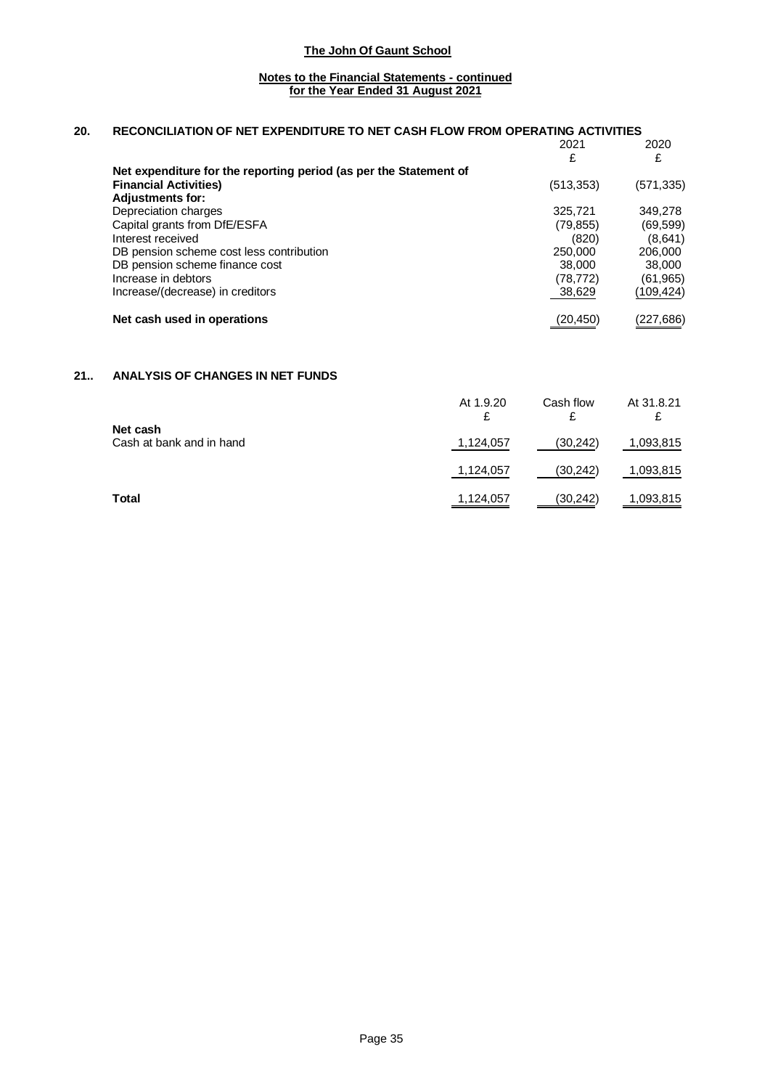### **Notes to the Financial Statements - continued for the Year Ended 31 August 2021**

### **20. RECONCILIATION OF NET EXPENDITURE TO NET CASH FLOW FROM OPERATING ACTIVITIES**

|                                                                                                                              | 2021<br>£  | 2020       |
|------------------------------------------------------------------------------------------------------------------------------|------------|------------|
| Net expenditure for the reporting period (as per the Statement of<br><b>Financial Activities)</b><br><b>Adjustments for:</b> | (513, 353) | (571, 335) |
| Depreciation charges                                                                                                         | 325,721    | 349,278    |
| Capital grants from DfE/ESFA                                                                                                 | (79, 855)  | (69, 599)  |
| Interest received                                                                                                            | (820)      | (8,641)    |
| DB pension scheme cost less contribution                                                                                     | 250,000    | 206,000    |
| DB pension scheme finance cost                                                                                               | 38,000     | 38,000     |
| Increase in debtors                                                                                                          | (78,772)   | (61, 965)  |
| Increase/(decrease) in creditors                                                                                             | 38,629     | (109,424)  |
| Net cash used in operations                                                                                                  | (20,450)   | (227,686)  |

# **21.. ANALYSIS OF CHANGES IN NET FUNDS**

|                                      | At 1.9.20<br>£ | Cash flow<br>£ | At 31.8.21 |
|--------------------------------------|----------------|----------------|------------|
| Net cash<br>Cash at bank and in hand | 1,124,057      | (30,242)       | 1,093,815  |
|                                      | 1,124,057      | (30, 242)      | 1,093,815  |
| Total                                | 1,124,057      | (30, 242)      | 1,093,815  |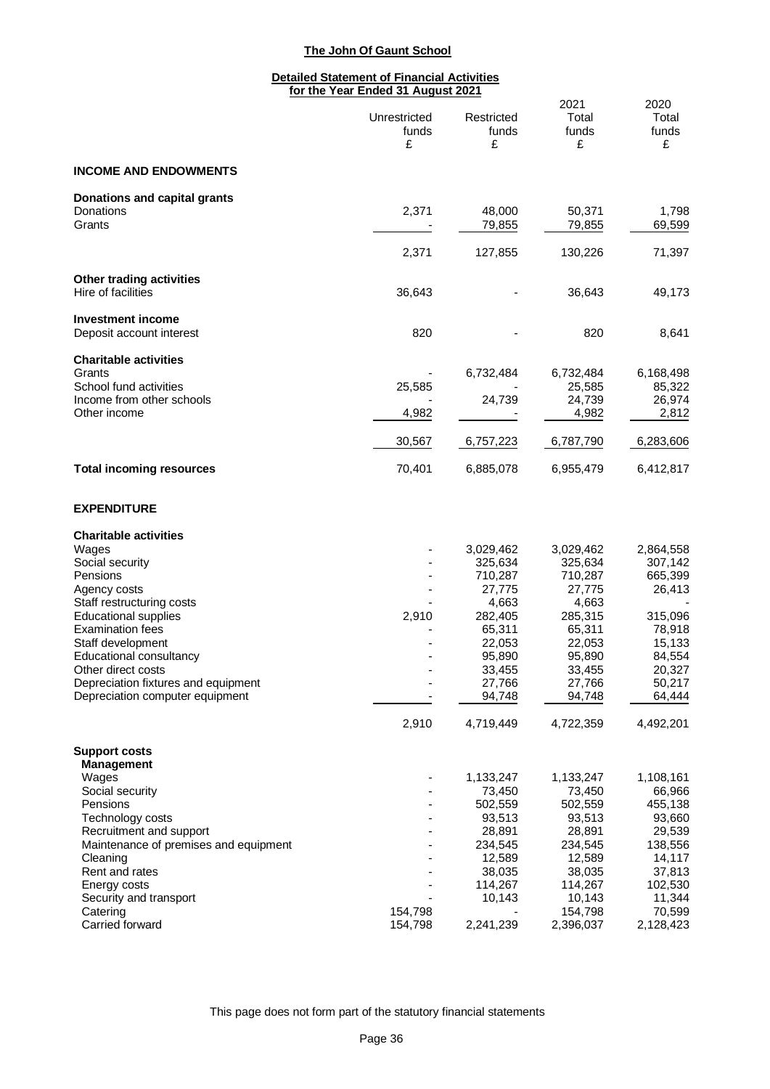### **Detailed Statement of Financial Activities for the Year Ended 31 August 2021**

|                                                                        | Unrestricted<br>funds<br>£ | Restricted<br>funds<br>£ | 2021<br>Total<br>funds<br>£ | 2020<br>Total<br>funds<br>£ |
|------------------------------------------------------------------------|----------------------------|--------------------------|-----------------------------|-----------------------------|
| <b>INCOME AND ENDOWMENTS</b>                                           |                            |                          |                             |                             |
| Donations and capital grants<br>Donations<br>Grants                    | 2,371                      | 48,000<br>79,855         | 50,371<br>79,855            | 1,798<br>69,599             |
|                                                                        | 2,371                      | 127,855                  | 130,226                     | 71,397                      |
| Other trading activities<br>Hire of facilities                         | 36,643                     |                          | 36,643                      | 49,173                      |
| <b>Investment income</b><br>Deposit account interest                   | 820                        |                          | 820                         | 8,641                       |
| <b>Charitable activities</b><br>Grants<br>School fund activities       |                            | 6,732,484                | 6,732,484                   | 6,168,498                   |
| Income from other schools<br>Other income                              | 25,585<br>4,982            | 24,739                   | 25,585<br>24,739<br>4,982   | 85,322<br>26,974<br>2,812   |
|                                                                        | 30,567                     | 6,757,223                | 6,787,790                   | 6,283,606                   |
| <b>Total incoming resources</b>                                        | 70,401                     | 6,885,078                | 6,955,479                   | 6,412,817                   |
| <b>EXPENDITURE</b>                                                     |                            |                          |                             |                             |
| <b>Charitable activities</b><br>Wages                                  |                            | 3,029,462                | 3,029,462                   | 2,864,558                   |
| Social security                                                        |                            | 325,634                  | 325,634                     | 307,142                     |
| Pensions                                                               |                            | 710,287                  | 710,287                     | 665,399                     |
| Agency costs                                                           |                            | 27,775                   | 27,775                      | 26,413                      |
| Staff restructuring costs                                              |                            | 4,663                    | 4,663                       |                             |
| <b>Educational supplies</b><br><b>Examination fees</b>                 | 2,910                      | 282,405<br>65,311        | 285,315<br>65,311           | 315,096<br>78,918           |
| Staff development                                                      |                            | 22,053                   | 22,053                      | 15,133                      |
| Educational consultancy                                                |                            | 95,890                   | 95,890                      | 84,554                      |
| Other direct costs                                                     |                            | 33,455                   | 33,455                      | 20,327                      |
| Depreciation fixtures and equipment<br>Depreciation computer equipment |                            | 27,766<br>94,748         | 27,766<br>94,748            | 50,217<br>64,444            |
|                                                                        | 2,910                      | 4,719,449                | 4,722,359                   | 4,492,201                   |
| <b>Support costs</b><br><b>Management</b>                              |                            |                          |                             |                             |
| Wages                                                                  |                            | 1,133,247                | 1,133,247                   | 1,108,161                   |
| Social security<br>Pensions                                            |                            | 73,450                   | 73,450                      | 66,966                      |
| Technology costs                                                       |                            | 502,559<br>93,513        | 502,559<br>93,513           | 455,138<br>93,660           |
| Recruitment and support                                                |                            | 28,891                   | 28,891                      | 29,539                      |
| Maintenance of premises and equipment                                  |                            | 234,545                  | 234,545                     | 138,556                     |
| Cleaning                                                               |                            | 12,589                   | 12,589                      | 14,117                      |
| Rent and rates                                                         |                            | 38,035                   | 38,035                      | 37,813                      |
| Energy costs<br>Security and transport                                 |                            | 114,267<br>10,143        | 114,267<br>10,143           | 102,530<br>11,344           |
| Catering                                                               | 154,798                    |                          | 154,798                     | 70,599                      |
| Carried forward                                                        | 154,798                    | 2,241,239                | 2,396,037                   | 2,128,423                   |